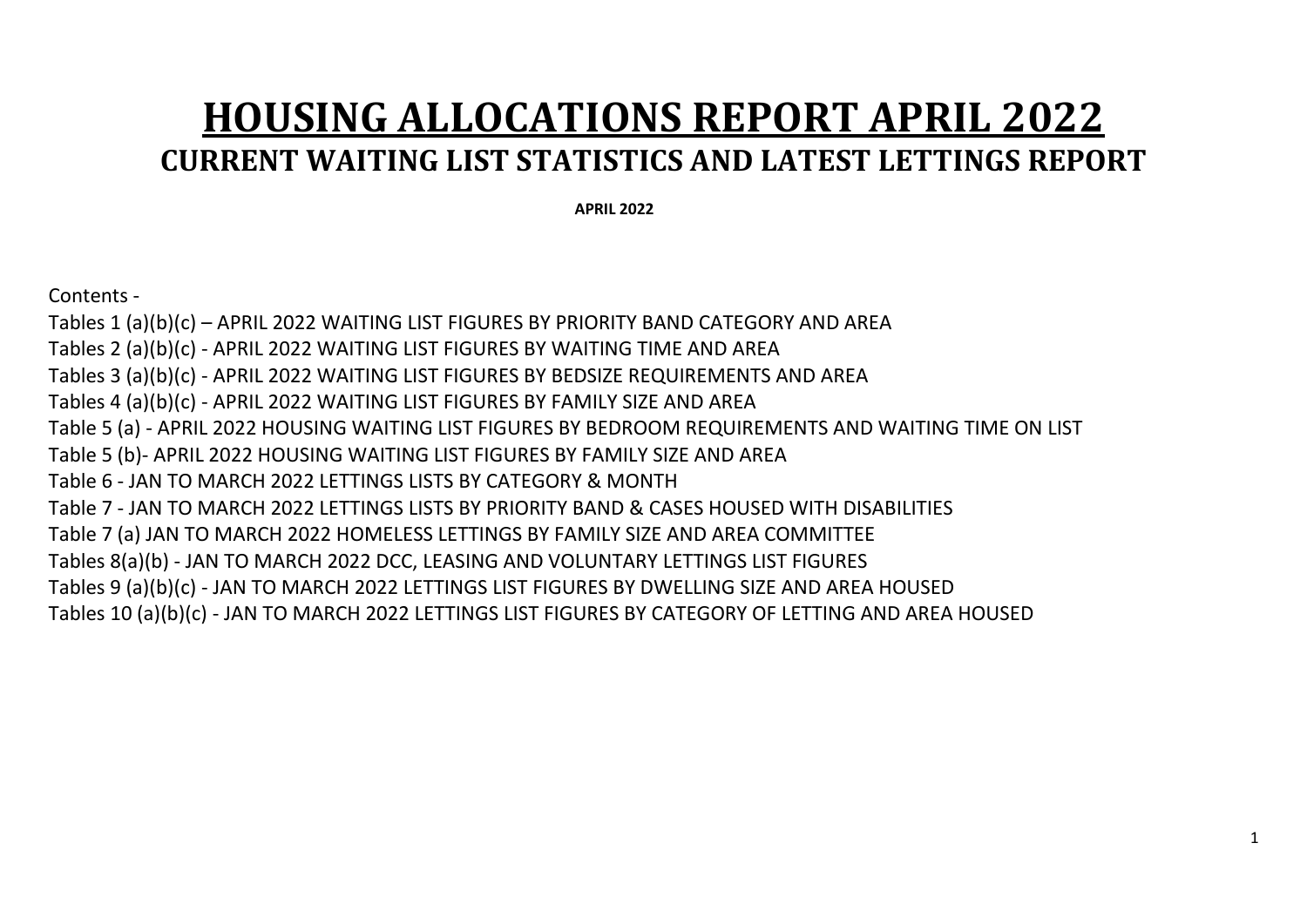# **HOUSING ALLOCATIONS REPORT APRIL 2022 CURRENT WAITING LIST STATISTICS AND LATEST LETTINGS REPORT**

 **APRIL 2022**

Contents -

Tables 1 (a)(b)(c) – APRIL 2022 WAITING LIST FIGURES BY PRIORITY BAND CATEGORY AND AREA Tables 2 (a)(b)(c) - APRIL 2022 WAITING LIST FIGURES BY WAITING TIME AND AREA Tables 3 (a)(b)(c) - APRIL 2022 WAITING LIST FIGURES BY BEDSIZE REQUIREMENTS AND AREA Tables 4 (a)(b)(c) - APRIL 2022 WAITING LIST FIGURES BY FAMILY SIZE AND AREA Table 5 (a) - APRIL 2022 HOUSING WAITING LIST FIGURES BY BEDROOM REQUIREMENTS AND WAITING TIME ON LIST Table 5 (b)- APRIL 2022 HOUSING WAITING LIST FIGURES BY FAMILY SIZE AND AREA Table 6 - JAN TO MARCH 2022 LETTINGS LISTS BY CATEGORY & MONTH Table 7 - JAN TO MARCH 2022 LETTINGS LISTS BY PRIORITY BAND & CASES HOUSED WITH DISABILITIES Table 7 (a) JAN TO MARCH 2022 HOMELESS LETTINGS BY FAMILY SIZE AND AREA COMMITTEE Tables 8(a)(b) - JAN TO MARCH 2022 DCC, LEASING AND VOLUNTARY LETTINGS LIST FIGURES Tables 9 (a)(b)(c) - JAN TO MARCH 2022 LETTINGS LIST FIGURES BY DWELLING SIZE AND AREA HOUSED Tables 10 (a)(b)(c) - JAN TO MARCH 2022 LETTINGS LIST FIGURES BY CATEGORY OF LETTING AND AREA HOUSED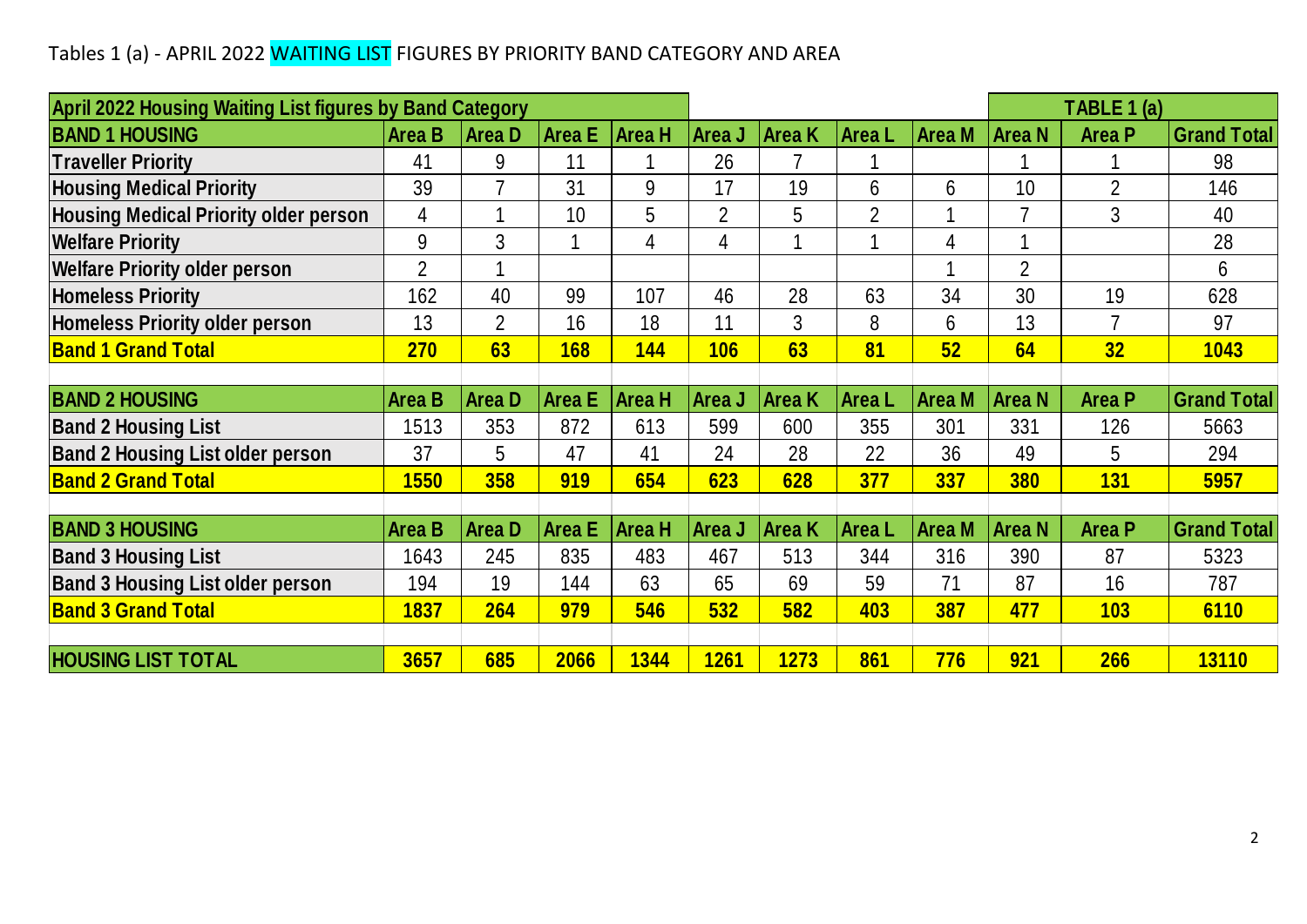## Tables 1 (a) - APRIL 2022 WAITING LIST FIGURES BY PRIORITY BAND CATEGORY AND AREA

| Tables 1 (a) - APRIL 2022 WAITING LIST FIGURES BY PRIORITY BAND CATEGORY AND AREA |                |                |               |                |                |                |                |               |                |                |                    |
|-----------------------------------------------------------------------------------|----------------|----------------|---------------|----------------|----------------|----------------|----------------|---------------|----------------|----------------|--------------------|
|                                                                                   |                |                |               |                |                |                |                |               |                |                |                    |
| April 2022 Housing Waiting List figures by Band Category                          |                |                |               |                |                |                |                |               |                | TABLE 1 (a)    |                    |
| <b>BAND 1 HOUSING</b>                                                             | <b>Area B</b>  | <b>AreaD</b>   | <b>Area</b> E | <b>Area H</b>  | Area J         | <b>Area K</b>  | Area L         | <b>Area M</b> | <b>Area N</b>  | <b>Area P</b>  | <b>Grand Total</b> |
| <b>Traveller Priority</b>                                                         | 41             | 9              | 11            |                | 26             | $\overline{7}$ |                |               |                |                | 98                 |
| <b>Housing Medical Priority</b>                                                   | 39             | $\overline{7}$ | 31            | 9              | 17             | 19             | 6              | 6             | 10             | $\overline{2}$ | 146                |
| <b>Housing Medical Priority older person</b>                                      | 4              | 1              | 10            | 5              | $\overline{2}$ | 5              | $\overline{2}$ |               | $\overline{7}$ | 3              | 40                 |
| <b>Welfare Priority</b>                                                           | 9              | 3              | 1             | $\overline{4}$ | 4              | 1              | 1              | 4             |                |                | 28                 |
| <b>Welfare Priority older person</b>                                              | $\overline{2}$ |                |               |                |                |                |                |               | $\overline{2}$ |                | 6                  |
| <b>Homeless Priority</b>                                                          | 162            | 40             | 99            | 107            | 46             | 28             | 63             | 34            | 30             | 19             | 628                |
| <b>Homeless Priority older person</b>                                             | 13             | $\overline{2}$ | 16            | 18             | 11             | 3              | 8              | 6             | 13             |                | 97                 |
| <b>Band 1 Grand Total</b>                                                         | 270            | 63             | 168           | <b>144</b>     | 106            | 63             | 81             | 52            | 64             | 32             | 1043               |
|                                                                                   |                |                |               |                |                |                |                |               |                |                |                    |
| <b>BAND 2 HOUSING</b>                                                             | <b>Area B</b>  | <b>AreaD</b>   | <b>Area E</b> | <b>Area H</b>  | Area J         | <b>Area K</b>  | Area L         | Area M        | <b>Area N</b>  | <b>Area P</b>  | <b>Grand Total</b> |
| <b>Band 2 Housing List</b>                                                        | 1513           | 353            | 872           | 613            | 599            | 600            | 355            | 301           | 331            | 126            | 5663               |
| <b>Band 2 Housing List older person</b>                                           | 37             | 5              | 47            | 41             | 24             | 28             | 22             | 36            | 49             | 5              | 294                |
| <b>Band 2 Grand Total</b>                                                         | <b>1550</b>    | 358            | <b>919</b>    | 654            | 623            | 628            | 377            | 337           | <b>380</b>     | <b>131</b>     | 5957               |
|                                                                                   |                |                |               |                |                |                |                |               |                |                |                    |
| <b>BAND 3 HOUSING</b>                                                             | <b>Area B</b>  | <b>AreaD</b>   | <b>Area E</b> | Area H         | Area J         | <b>Area K</b>  | Area L         | <b>Area M</b> | <b>Area N</b>  | <b>Area P</b>  | <b>Grand Total</b> |
| <b>Band 3 Housing List</b>                                                        | 1643           | 245            | 835           | 483            | 467            | 513            | 344            | 316           | 390            | 87             | 5323               |
| <b>Band 3 Housing List older person</b>                                           | 194            | 19             | 144           | 63             | 65             | 69             | 59             | 71            | 87             | 16             | 787                |
| <b>Band 3 Grand Total</b>                                                         | 1837           | 264            | 979           | 546            | 532            | 582            | 403            | 387           | 477            | 103            | 6110               |
|                                                                                   |                |                |               |                |                |                |                |               |                |                |                    |
| <b>HOUSING LIST TOTAL</b>                                                         | 3657           | 685            | 2066          | 1344           | <b>1261</b>    | 1273           | 861            | 776           | 921            | 266            | <b>13110</b>       |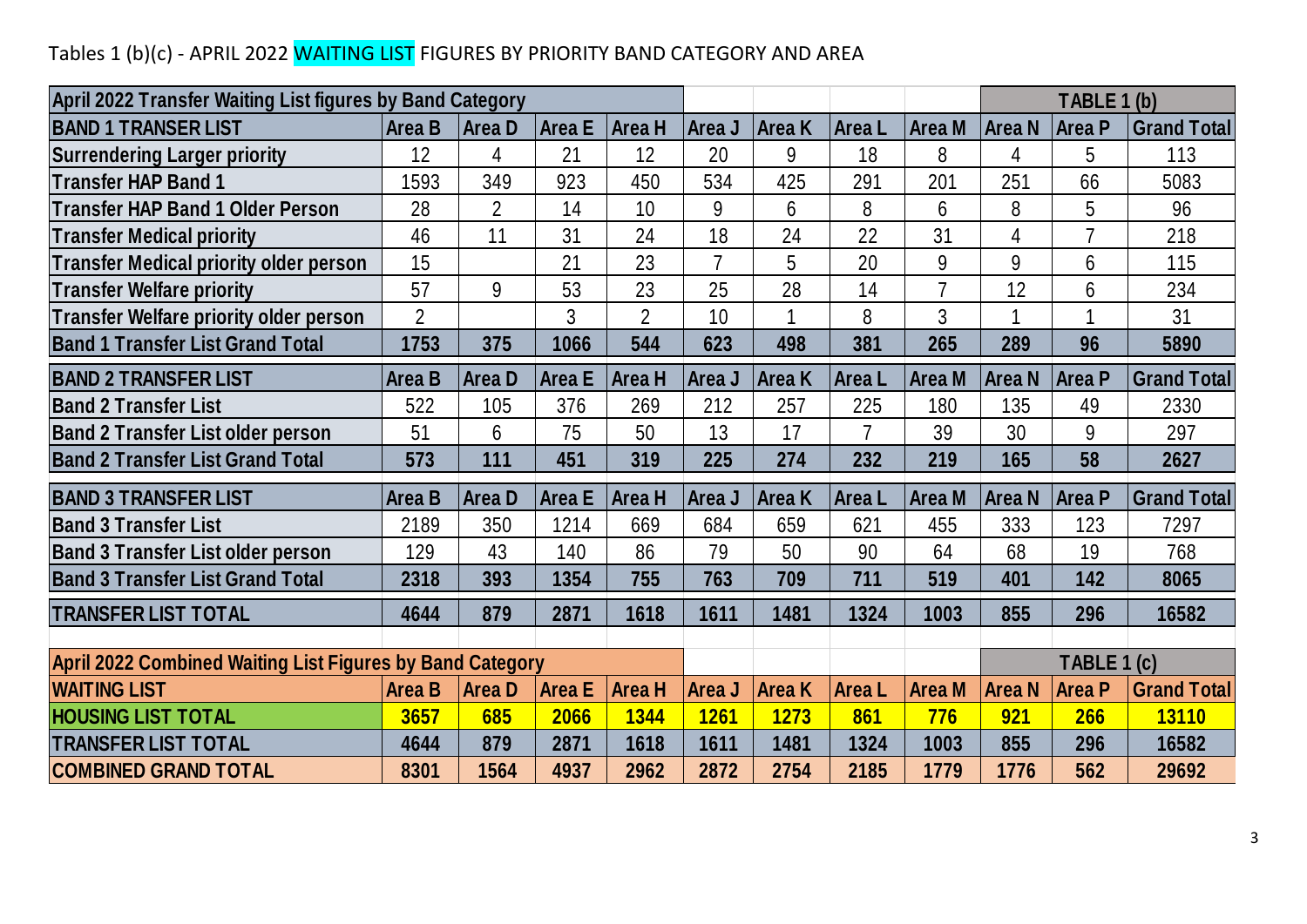## Tables 1 (b)(c) - APRIL 2022 <mark>WAITING LIST</mark> FIGURES BY PRIORITY BAND CATEGORY AND AREA

| Tables 1 (b)(c) - APRIL 2022 WAITING LIST FIGURES BY PRIORITY BAND CATEGORY AND AREA |                |                |               |                |                |               |                |                |               |                |                    |
|--------------------------------------------------------------------------------------|----------------|----------------|---------------|----------------|----------------|---------------|----------------|----------------|---------------|----------------|--------------------|
| April 2022 Transfer Waiting List figures by Band Category                            |                |                |               |                |                |               |                |                |               | TABLE 1 (b)    |                    |
| <b>BAND 1 TRANSER LIST</b>                                                           | <b>Area B</b>  | <b>AreaD</b>   | <b>Area E</b> | Area H         | Area J         | <b>Area</b> K | Area L         | Area M         | Area N        | Area P         | <b>Grand Total</b> |
| <b>Surrendering Larger priority</b>                                                  | 12             | $\overline{4}$ | 21            | 12             | 20             | 9             | 18             | 8              | 4             | 5              | 113                |
| <b>Transfer HAP Band 1</b>                                                           | 1593           | 349            | 923           | 450            | 534            | 425           | 291            | 201            | 251           | 66             | 5083               |
| <b>Transfer HAP Band 1 Older Person</b>                                              | 28             | $\overline{2}$ | 14            | 10             | 9              | 6             | 8              | 6              | 8             | 5              | 96                 |
| <b>Transfer Medical priority</b>                                                     | 46             | 11             | 31            | 24             | 18             | 24            | 22             | 31             | 4             | $\overline{7}$ | 218                |
| <b>Transfer Medical priority older person</b>                                        | 15             |                | 21            | 23             | $\overline{7}$ | 5             | 20             | 9              | 9             | 6              | 115                |
| <b>Transfer Welfare priority</b>                                                     | 57             | 9              | 53            | 23             | 25             | 28            | 14             | $\overline{7}$ | 12            | 6              | 234                |
| <b>Transfer Welfare priority older person</b>                                        | $\overline{2}$ |                | 3             | $\overline{2}$ | 10             |               | 8              | 3              | 1             |                | 31                 |
| <b>Band 1 Transfer List Grand Total</b>                                              | 1753           | 375            | 1066          | 544            | 623            | 498           | 381            | 265            | 289           | 96             | 5890               |
| <b>BAND 2 TRANSFER LIST</b>                                                          | <b>Area B</b>  | <b>AreaD</b>   | <b>Area E</b> | <b>Area H</b>  | Area J         | <b>Area K</b> | Area L         | Area M         | <b>Area N</b> | Area P         | <b>Grand Total</b> |
| <b>Band 2 Transfer List</b>                                                          | 522            | 105            | 376           | 269            | 212            | 257           | 225            | 180            | 135           | 49             | 2330               |
| <b>Band 2 Transfer List older person</b>                                             | 51             | 6              | 75            | 50             | 13             | 17            | $\overline{7}$ | 39             | 30            | 9              | 297                |
| <b>Band 2 Transfer List Grand Total</b>                                              | 573            | 111            | 451           | 319            | 225            | 274           | 232            | 219            | 165           | 58             | 2627               |
| <b>BAND 3 TRANSFER LIST</b>                                                          | <b>Area B</b>  | <b>AreaD</b>   | <b>Area E</b> | Area H         | Area J         | <b>Area</b> K | Area L         | Area M         | <b>Area N</b> | <b>Area P</b>  | <b>Grand Total</b> |
| <b>Band 3 Transfer List</b>                                                          | 2189           | 350            | 1214          | 669            | 684            | 659           | 621            | 455            | 333           | 123            | 7297               |
| <b>Band 3 Transfer List older person</b>                                             | 129            | 43             | 140           | 86             | 79             | 50            | 90             | 64             | 68            | 19             | 768                |
| <b>Band 3 Transfer List Grand Total</b>                                              | 2318           | 393            | 1354          | 755            | 763            | 709           | 711            | 519            | 401           | 142            | 8065               |
| <b>TRANSFER LIST TOTAL</b>                                                           | 4644           | 879            | 2871          | 1618           | 1611           | 1481          | 1324           | 1003           | 855           | 296            | 16582              |
|                                                                                      |                |                |               |                |                |               |                |                |               |                |                    |
| <b>April 2022 Combined Waiting List Figures by Band Category</b>                     |                |                |               |                |                |               |                |                |               | TABLE 1 (c)    |                    |
| <b>WAITING LIST</b>                                                                  | <b>Area B</b>  | <b>AreaD</b>   | <b>Area E</b> | <b>Area H</b>  | Area J         | <b>Area K</b> | Area L         | <b>Area M</b>  | <b>Area N</b> | <b>Area P</b>  | <b>Grand Total</b> |
| <b>HOUSING LIST TOTAL</b>                                                            | 3657           | 685            | 2066          | 1344           | <b>1261</b>    | 1273          | 861            | 776            | 921           | 266            | <b>13110</b>       |
| <b>TRANSFER LIST TOTAL</b>                                                           | 4644           | 879            | 2871          | 1618           | 1611           | 1481          | 1324           | 1003           | 855           | 296            | 16582              |
| <b>COMBINED GRAND TOTAL</b>                                                          | 8301           | 1564           | 4937          | 2962           | 2872           | 2754          | 2185           | 1779           | 1776          | 562            | 29692              |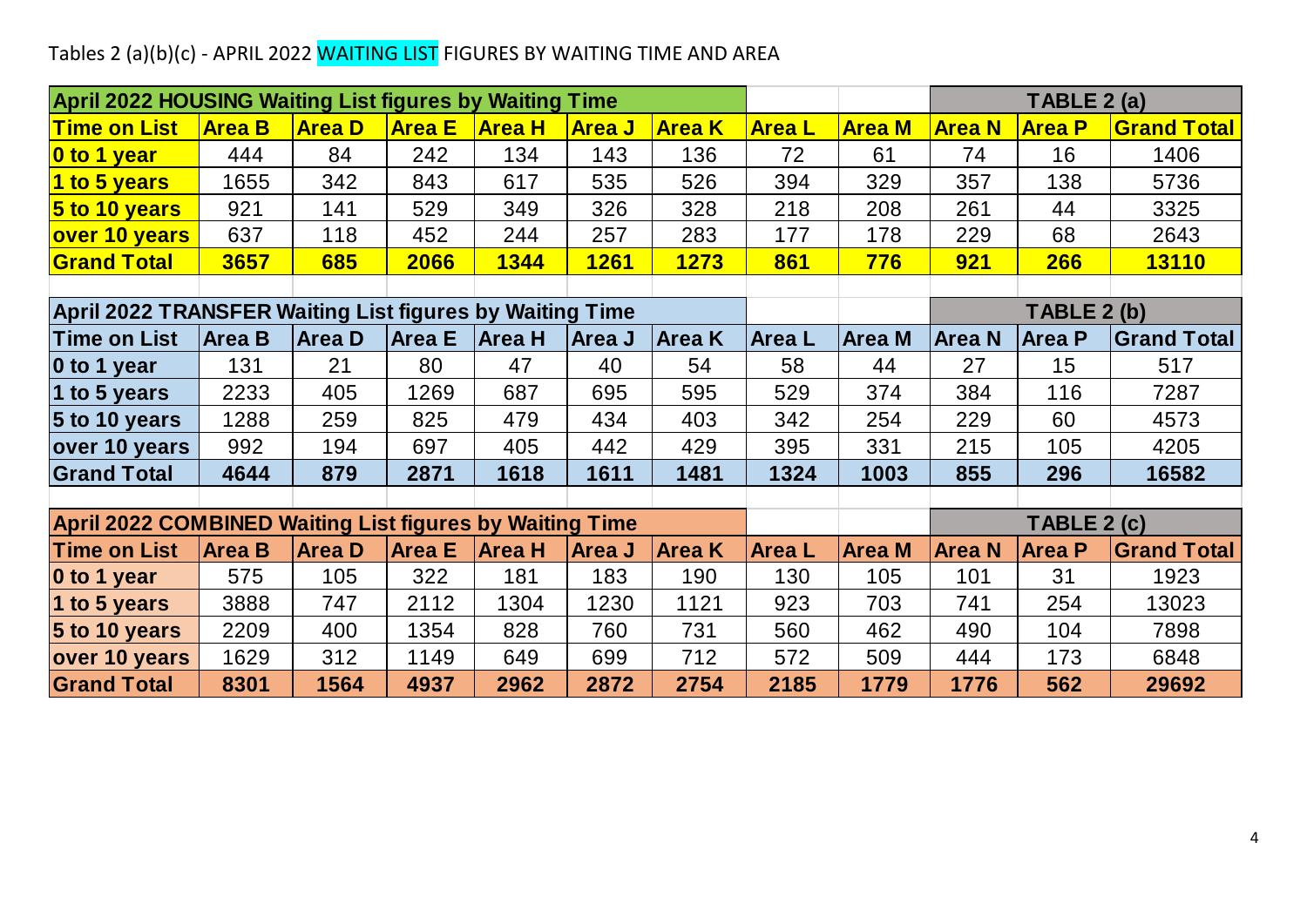## Tables 2 (a)(b)(c) - APRIL 2022 <mark>WAITING LIST</mark> FIGURES BY WAITING TIME AND AREA

| Tables 2 (a)(b)(c) - APRIL 2022 WAITING LIST FIGURES BY WAITING TIME AND AREA |               |               |               |               |               |               |               |               |               |               |                    |
|-------------------------------------------------------------------------------|---------------|---------------|---------------|---------------|---------------|---------------|---------------|---------------|---------------|---------------|--------------------|
| <b>April 2022 HOUSING Waiting List figures by Waiting Time</b>                |               |               |               |               |               |               |               |               |               | TABLE 2 (a)   |                    |
| <b>Time on List</b>                                                           | <b>Area B</b> | <b>Area D</b> | <b>Area E</b> | <b>Area H</b> | <b>Area J</b> | <b>Area K</b> | <b>AreaL</b>  | <b>Area M</b> | <b>Area N</b> | <b>Area P</b> | <b>Grand Total</b> |
| 0 to 1 year                                                                   | 444           | 84            | 242           | 134           | 143           | 136           | 72            | 61            | 74            | 16            | 1406               |
| 1 to 5 years                                                                  | 1655          | 342           | 843           | 617           | 535           | 526           | 394           | 329           | 357           | 138           | 5736               |
| $5$ to 10 years                                                               | 921           | 141           | 529           | 349           | 326           | 328           | 218           | 208           | 261           | 44            | 3325               |
| over 10 years                                                                 | 637           | 118           | 452           | 244           | 257           | 283           | 177           | 178           | 229           | 68            | 2643               |
| <b>Grand Total</b>                                                            | 3657          | 685           | 2066          | 1344          | <b>1261</b>   | <b>1273</b>   | 861           | <b>776</b>    | <b>921</b>    | 266           | <b>13110</b>       |
|                                                                               |               |               |               |               |               |               |               |               |               |               |                    |
| April 2022 TRANSFER Waiting List figures by Waiting Time                      |               |               |               |               |               |               |               |               |               | TABLE 2 (b)   |                    |
| <b>Time on List</b>                                                           | <b>Area B</b> | Area D        | <b>Area E</b> | <b>Area H</b> | <b>Area J</b> | <b>Area K</b> | <b>Area</b> L | <b>Area M</b> | <b>Area N</b> | <b>Area P</b> | <b>Grand Total</b> |
| $\vert$ 0 to 1 year                                                           | 131           | 21            | 80            | 47            | 40            | 54            | 58            | 44            | 27            | 15            | 517                |
| 1 to 5 years                                                                  | 2233          | 405           | 1269          | 687           | 695           | 595           | 529           | 374           | 384           | 116           | 7287               |
| 5 to 10 years                                                                 | 1288          | 259           | 825           | 479           | 434           | 403           | 342           | 254           | 229           | 60            | 4573               |
| over 10 years                                                                 | 992           | 194           | 697           | 405           | 442           | 429           | 395           | 331           | 215           | 105           | 4205               |
| <b>Grand Total</b>                                                            | 4644          | 879           | 2871          | 1618          | 1611          | 1481          | 1324          | 1003          | 855           | 296           | 16582              |
|                                                                               |               |               |               |               |               |               |               |               |               |               |                    |
| <b>April 2022 COMBINED Waiting List figures by Waiting Time</b>               |               |               |               |               |               |               |               |               |               | TABLE 2 (c)   |                    |
| <b>Time on List</b>                                                           | <b>Area B</b> | <b>Area D</b> | <b>Area E</b> | <b>Area H</b> | Area J        | <b>Area K</b> | <b>Area</b> L | <b>Area M</b> | <b>Area N</b> | <b>Area P</b> | <b>Grand Total</b> |
| $\vert$ 0 to 1 year                                                           | 575           | 105           | 322           | 181           | 183           | 190           | 130           | 105           | 101           | 31            | 1923               |
| 1 to 5 years                                                                  | 3888          | 747           | 2112          | 1304          | 1230          | 1121          | 923           | 703           | 741           | 254           | 13023              |
| 5 to 10 years                                                                 | 2209          | 400           | 1354          | 828           | 760           | 731           | 560           | 462           | 490           | 104           | 7898               |
| over 10 years                                                                 | 1629          | 312           | 1149          | 649           | 699           | 712           | 572           | 509           | 444           | 173           | 6848               |
| <b>Grand Total</b>                                                            | 8301          | 1564          | 4937          | 2962          | 2872          | 2754          | 2185          | 1779          | 1776          | 562           | 29692              |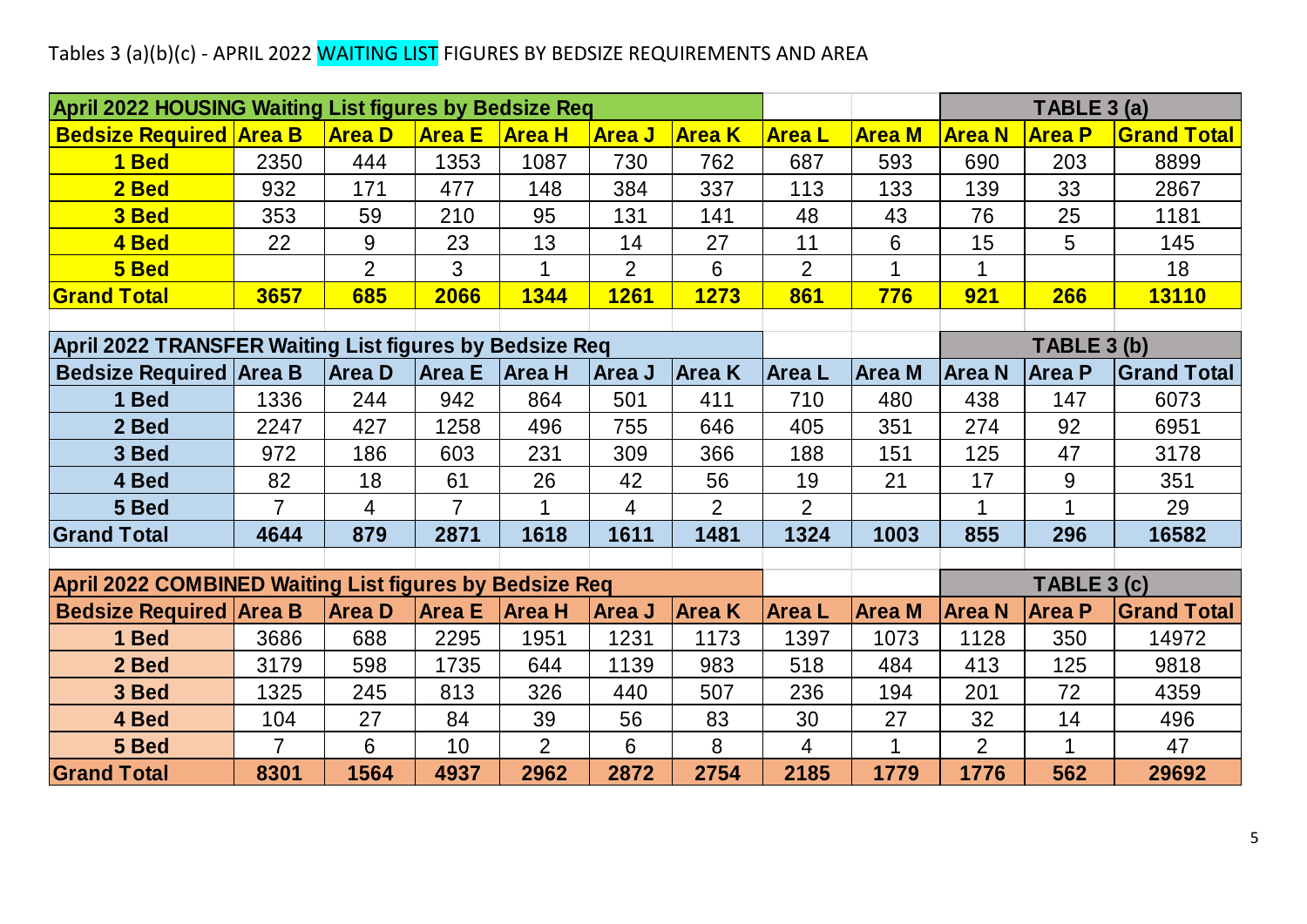# Tables 3 (a)(b)(c) - APRIL 2022 WAITING LIST FIGURES BY BEDSIZE REQUIREMENTS AND AREA

| Tables 3 (a)(b)(c) - APRIL 2022 WAITING LIST FIGURES BY BEDSIZE REQUIREMENTS AND AREA |                       |                |                |                      |                |                |                |               |                |               |                    |
|---------------------------------------------------------------------------------------|-----------------------|----------------|----------------|----------------------|----------------|----------------|----------------|---------------|----------------|---------------|--------------------|
| April 2022 HOUSING Waiting List figures by Bedsize Req                                |                       |                |                |                      |                |                |                |               |                | TABLE 3 (a)   |                    |
| <b>Bedsize Required Area B</b>                                                        |                       | <b>Area D</b>  | <b>Area E</b>  | <b>Area H</b>        | <b>Area J</b>  | <b>Area K</b>  | <b>AreaL</b>   | <b>Area M</b> | <b>Area N</b>  | <b>Area P</b> | <b>Grand Total</b> |
| 1 Bed                                                                                 | 2350                  | 444            | 1353           | 1087                 | 730            | 762            | 687            | 593           | 690            | 203           | 8899               |
| 2 Bed                                                                                 | 932                   | 171            | 477            | 148                  | 384            | 337            | 113            | 133           | 139            | 33            | 2867               |
| 3 Bed                                                                                 | 353                   | 59             | 210            | 95                   | 131            | 141            | 48             | 43            | 76             | 25            | 1181               |
| 4 Bed                                                                                 | 22                    | 9              | 23             | 13                   | 14             | 27             | 11             | 6             | 15             | 5             | 145                |
| 5 Bed                                                                                 |                       | $\overline{2}$ | 3              | 1                    | $\overline{2}$ | 6              | $\overline{2}$ | 1             | $\mathbf{1}$   |               | 18                 |
| <b>Grand Total</b>                                                                    | 3657                  | 685            | 2066           | 1344                 | 1261           | 1273           | 861            | 776           | 921            | 266           | <b>13110</b>       |
|                                                                                       |                       |                |                |                      |                |                |                |               |                |               |                    |
| April 2022 TRANSFER Waiting List figures by Bedsize Req                               |                       |                |                |                      |                |                |                |               |                | TABLE 3 (b)   |                    |
| <b>Bedsize Required Area B</b>                                                        |                       | <b>Area D</b>  | <b>Area E</b>  | <b>Area H</b>        | Area J         | <b>Area K</b>  | <b>Area L</b>  | <b>Area M</b> | Area N         | Area P        | <b>Grand Total</b> |
| 1 Bed                                                                                 | 1336                  | 244            | 942            | 864                  | 501            | 411            | 710            | 480           | 438            | 147           | 6073               |
| 2 Bed                                                                                 | 2247                  | 427            | 1258           | 496                  | 755            | 646            | 405            | 351           | 274            | 92            | 6951               |
| 3 Bed                                                                                 | 972                   | 186            | 603            | 231                  | 309            | 366            | 188            | 151           | 125            | 47            | 3178               |
| 4 Bed                                                                                 | 82                    | 18             | 61             | 26                   | 42             | 56             | 19             | 21            | 17             | 9             | 351                |
| 5 Bed                                                                                 | $\overline{7}$        | 4              | $\overline{7}$ |                      | 4              | $\overline{2}$ | $\overline{2}$ |               |                |               | 29                 |
| <b>Grand Total</b>                                                                    | 4644                  | 879            | 2871           | 1618                 | 1611           | 1481           | 1324           | 1003          | 855            | 296           | 16582              |
|                                                                                       |                       |                |                |                      |                |                |                |               |                |               |                    |
| April 2022 COMBINED Waiting List figures by Bedsize Req                               |                       |                |                |                      |                |                |                |               |                | TABLE 3 (c)   |                    |
| <b>Bedsize Required Area B</b>                                                        |                       | <b>Area D</b>  | <b>Area E</b>  | <b>Area H</b>        | <b>Area J</b>  | <b>Area K</b>  | <b>Area L</b>  | <b>Area M</b> | <b>Area N</b>  | Area P        | <b>Grand Total</b> |
| 1 Bed                                                                                 | 3686                  | 688            | 2295           | 1951                 | 1231           | 1173           | 1397           | 1073          | 1128           | 350           | 14972              |
| 2 Bed                                                                                 | 3179                  | 598            | 1735           | 644                  | 1139           | 983            | 518            | 484           | 413            | 125           | 9818               |
| 3 Bed                                                                                 | 1325                  | 245            | 813            | 326                  | 440            | 507            | 236            | 194           | 201            | 72            | 4359               |
| 4 Bed                                                                                 | 104<br>$\overline{7}$ | 27             | 84             | 39<br>$\overline{2}$ | 56             | 83             | 30             | 27            | 32             | 14            | 496                |
| 5 Bed                                                                                 |                       | 6              | 10             |                      | 6              | 8              | $\overline{4}$ | 1             | $\overline{2}$ | 1             | 47                 |
| <b>Grand Total</b>                                                                    | 8301                  | 1564           | 4937           | 2962                 | 2872           | 2754           | 2185           | 1779          | 1776           | 562           | 29692              |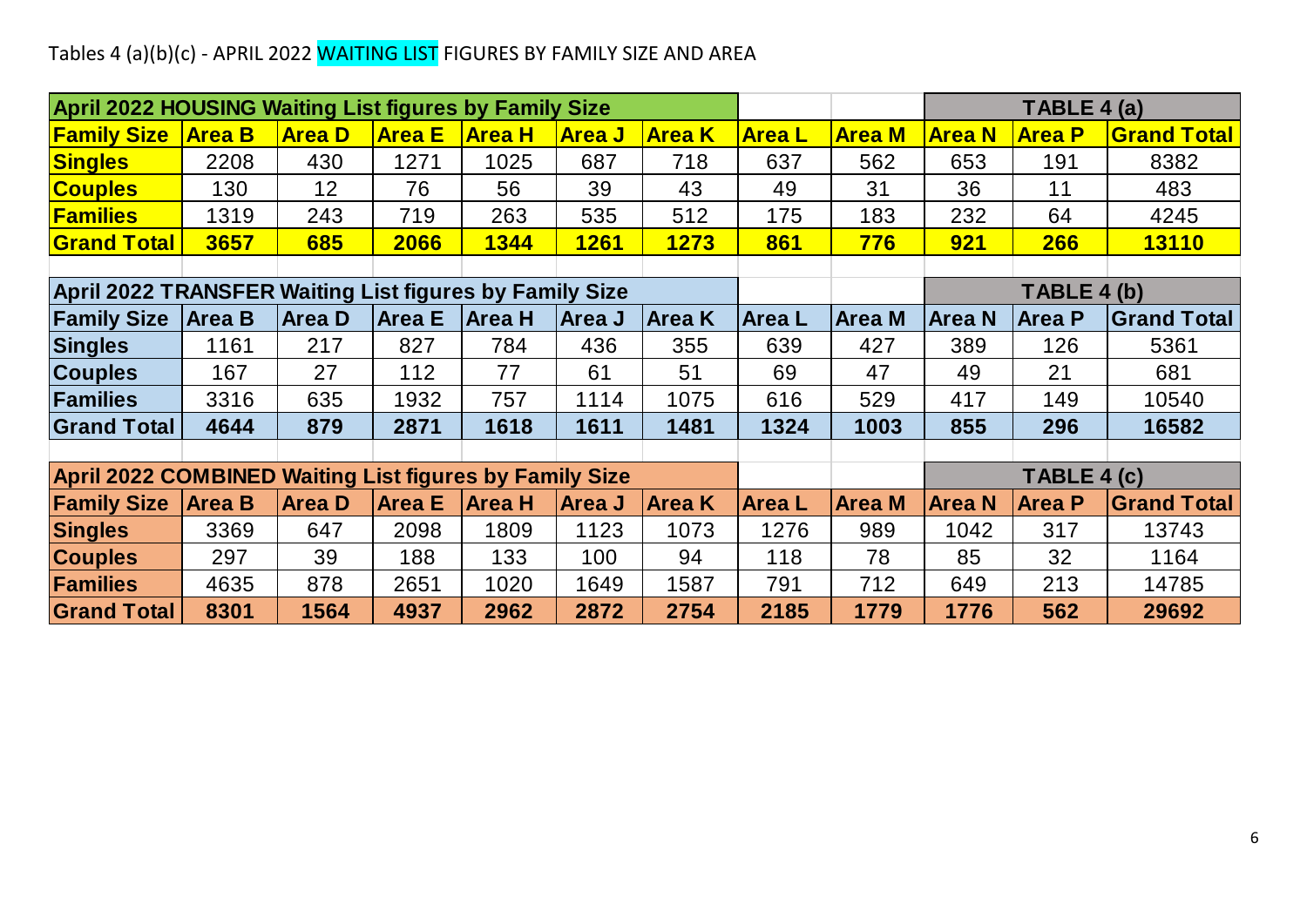## Tables 4 (a)(b)(c) - APRIL 2022 <mark>WAITING LIST</mark> FIGURES BY FAMILY SIZE AND AREA

| Tables 4 (a)(b)(c) - APRIL 2022 WAITING LIST FIGURES BY FAMILY SIZE AND AREA |               |                 |               |               |               |               |               |               |               |               |                    |
|------------------------------------------------------------------------------|---------------|-----------------|---------------|---------------|---------------|---------------|---------------|---------------|---------------|---------------|--------------------|
|                                                                              |               |                 |               |               |               |               |               |               |               |               |                    |
| <b>April 2022 HOUSING Waiting List figures by Family Size</b>                |               |                 |               |               |               |               |               |               |               | TABLE 4 (a)   |                    |
| <b>Family Size</b>                                                           | <b>Area B</b> | <b>Area D</b>   | <b>Area E</b> | <b>Area H</b> | <b>Area J</b> | <b>Area K</b> | <b>Area L</b> | <b>Area M</b> | <b>Area N</b> | <b>Area P</b> | <b>Grand Total</b> |
| <b>Singles</b>                                                               | 2208          | 430             | 1271          | 1025          | 687           | 718           | 637           | 562           | 653           | 191           | 8382               |
| <b>Couples</b>                                                               | 130           | 12 <sup>2</sup> | 76            | 56            | 39            | 43            | 49            | 31            | 36            | 11            | 483                |
| <b>Families</b>                                                              | 1319          | 243             | 719           | 263           | 535           | 512           | 175           | 183           | 232           | 64            | 4245               |
| <b>Grand Total</b>                                                           | 3657          | 685             | 2066          | 1344          | <b>1261</b>   | 1273          | 861           | 776           | <b>921</b>    | 266           | <b>13110</b>       |
|                                                                              |               |                 |               |               |               |               |               |               |               |               |                    |
| April 2022 TRANSFER Waiting List figures by Family Size                      |               |                 |               |               |               |               |               |               |               | TABLE 4 (b)   |                    |
| <b>Family Size</b>                                                           | <b>Area B</b> | <b>Area D</b>   | <b>Area E</b> | <b>Area H</b> | Area J        | Area K        | <b>AreaL</b>  | <b>Area M</b> | <b>Area N</b> | <b>Area P</b> | <b>Grand Total</b> |
| <b>Singles</b>                                                               | 1161          | 217             | 827           | 784           | 436           | 355           | 639           | 427           | 389           | 126           | 5361               |
| <b>Couples</b>                                                               | 167           | 27              | 112           | 77            | 61            | 51            | 69            | 47            | 49            | 21            | 681                |
| Families                                                                     | 3316          | 635             | 1932          | 757           | 1114          | 1075          | 616           | 529           | 417           | 149           | 10540              |
| <b>Grand Total</b>                                                           | 4644          | 879             | 2871          | 1618          | 1611          | 1481          | 1324          | 1003          | 855           | 296           | 16582              |
|                                                                              |               |                 |               |               |               |               |               |               |               |               |                    |
| <b>April 2022 COMBINED Waiting List figures by Family Size</b>               |               |                 |               |               |               |               |               |               |               | TABLE 4 (c)   |                    |
| <b>Family Size</b>                                                           | <b>Area B</b> | <b>Area D</b>   | <b>Area E</b> | <b>Area H</b> | <b>Area J</b> | <b>Area K</b> | <b>AreaL</b>  | <b>Area M</b> | <b>Area N</b> | <b>Area P</b> | <b>Grand Total</b> |
| <b>Singles</b>                                                               | 3369          | 647             | 2098          | 1809          | 1123          | 1073          | 1276          | 989           | 1042          | 317           | 13743              |
| <b>Couples</b>                                                               | 297           | 39              | 188           | 133           | 100           | 94            | 118           | 78            | 85            | 32            | 1164               |
| <b>Families</b>                                                              | 4635          | 878             | 2651          | 1020          | 1649          | 1587          | 791           | 712           | 649           | 213           | 14785              |
| <b>Grand Total</b>                                                           | 8301          | 1564            | 4937          | 2962          | 2872          | 2754          | 2185          | 1779          | 1776          | 562           | 29692              |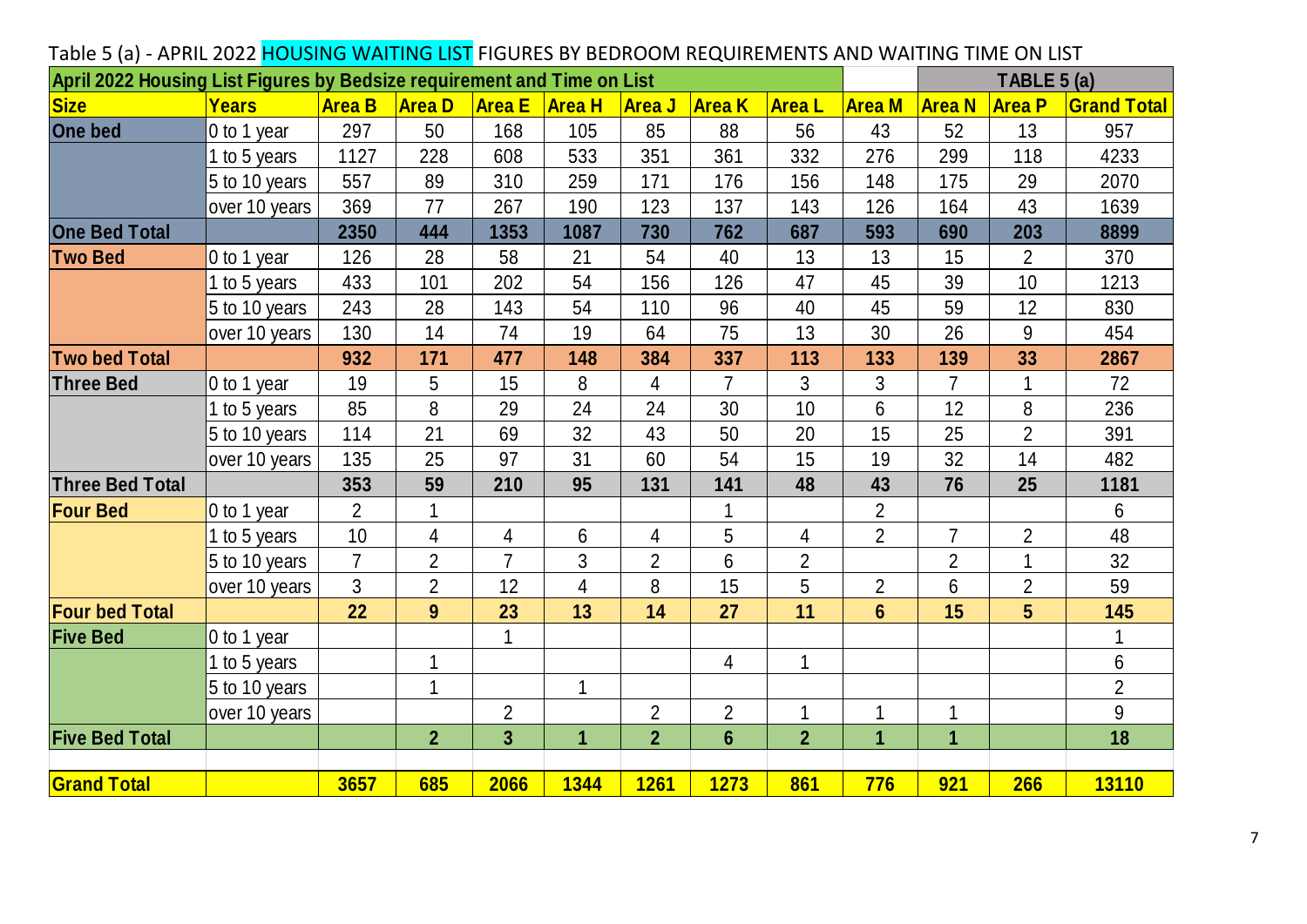| Table 5 (a) - APRIL 2022 HOUSING WAITING LIST FIGURES BY BEDROOM REQUIREMENTS AND WAITING TIME ON LIST<br>April 2022 Housing List Figures by Bedsize requirement and Time on List |               |                |                |                         |                 |                |                |                |                |                | TABLE 5 (a)    |                    |
|-----------------------------------------------------------------------------------------------------------------------------------------------------------------------------------|---------------|----------------|----------------|-------------------------|-----------------|----------------|----------------|----------------|----------------|----------------|----------------|--------------------|
| <b>Size</b>                                                                                                                                                                       | <b>Years</b>  | <b>Area B</b>  | <b>Area D</b>  | <b>Area E</b>           | <b>Area H</b>   | <b>Area J</b>  | <b>Area K</b>  | <b>Area</b> L  | <b>Area M</b>  | <b>Area N</b>  | <b>Area P</b>  | <b>Grand Total</b> |
| <b>One bed</b>                                                                                                                                                                    | 0 to 1 year   | 297            | 50             | 168                     | 105             | 85             | 88             | 56             | 43             | 52             | 13             | 957                |
|                                                                                                                                                                                   | 1 to 5 years  | 1127           | 228            | 608                     | 533             | 351            | 361            | 332            | 276            | 299            | 118            | 4233               |
|                                                                                                                                                                                   | 5 to 10 years | 557            | 89             | 310                     | 259             | 171            | 176            | 156            | 148            | 175            | 29             | 2070               |
|                                                                                                                                                                                   | over 10 years | 369            | 77             | 267                     | 190             | 123            | 137            | 143            | 126            | 164            | 43             | 1639               |
| <b>One Bed Total</b>                                                                                                                                                              |               | 2350           | 444            | 1353                    | 1087            | 730            | 762            | 687            | 593            | 690            | 203            | 8899               |
| <b>Two Bed</b>                                                                                                                                                                    | 0 to 1 year   | 126            | 28             | 58                      | 21              | 54             | 40             | 13             | 13             | 15             | $\overline{2}$ | 370                |
|                                                                                                                                                                                   | 1 to 5 years  | 433            | 101            | 202                     | 54              | 156            | 126            | 47             | 45             | 39             | 10             | 1213               |
|                                                                                                                                                                                   | 5 to 10 years | 243            | 28             | 143                     | 54              | 110            | 96             | 40             | 45             | 59             | 12             | 830                |
|                                                                                                                                                                                   | over 10 years | 130            | 14             | 74                      | 19              | 64             | 75             | 13             | 30             | 26             | 9              | 454                |
| <b>Two bed Total</b>                                                                                                                                                              |               | 932            | 171            | 477                     | 148             | 384            | 337            | 113            | 133            | 139            | 33             | 2867               |
| <b>Three Bed</b>                                                                                                                                                                  | 0 to 1 year   | 19             | 5              | 15                      | 8               | 4              | $\overline{7}$ | 3              | 3              | $\overline{7}$ | 1              | 72                 |
|                                                                                                                                                                                   | 1 to 5 years  | 85             | 8              | 29                      | 24              | 24             | 30             | 10             | $6\phantom{1}$ | 12             | 8              | 236                |
|                                                                                                                                                                                   | 5 to 10 years | 114            | 21             | 69                      | 32              | 43             | 50             | 20             | 15             | 25             | $\overline{2}$ | 391                |
|                                                                                                                                                                                   | over 10 years | 135            | 25             | 97                      | 31              | 60             | 54             | 15             | 19             | 32             | 14             | 482                |
| <b>Three Bed Total</b>                                                                                                                                                            |               | 353            | 59             | 210                     | 95              | 131            | 141            | 48             | 43             | 76             | 25             | 1181               |
| <b>Four Bed</b>                                                                                                                                                                   | 0 to 1 year   | $\overline{2}$ |                |                         |                 |                |                |                | $\overline{2}$ |                |                | 6                  |
|                                                                                                                                                                                   | 1 to 5 years  | 10             | $\overline{4}$ | 4                       | $6\phantom{1}6$ | 4              | 5              | 4              | $\overline{2}$ | $\overline{7}$ | $\overline{2}$ | 48                 |
|                                                                                                                                                                                   | 5 to 10 years | $\overline{7}$ | $\overline{2}$ | $\overline{7}$          | 3               | $\overline{2}$ | 6              | $\overline{2}$ |                | $\overline{2}$ | $\mathbf{1}$   | 32                 |
|                                                                                                                                                                                   | over 10 years | 3              | $\overline{2}$ | 12                      | 4               | 8              | 15             | 5              | $\overline{2}$ | 6              | $\overline{2}$ | 59                 |
| <b>Four bed Total</b>                                                                                                                                                             |               | 22             | 9              | 23                      | 13              | 14             | 27             | 11             | $6\phantom{1}$ | 15             | 5              | 145                |
| <b>Five Bed</b>                                                                                                                                                                   | 0 to 1 year   |                |                | $\mathbf 1$             |                 |                |                |                |                |                |                | $\mathbf{1}$       |
|                                                                                                                                                                                   | 1 to 5 years  |                | 1              |                         |                 |                | 4              | 1              |                |                |                | 6                  |
|                                                                                                                                                                                   | 5 to 10 years |                | 1              |                         |                 |                |                |                |                |                |                | $\overline{2}$     |
|                                                                                                                                                                                   | over 10 years |                |                | $\overline{2}$          |                 | $\overline{2}$ | $\overline{2}$ | 1              |                | 1              |                | 9                  |
| <b>Five Bed Total</b>                                                                                                                                                             |               |                | $\overline{2}$ | $\overline{\mathbf{3}}$ | $\mathbf{1}$    | $\overline{2}$ | $6\phantom{1}$ | $\overline{2}$ | 1              | $\mathbf{1}$   |                | 18                 |
| <b>Grand Total</b>                                                                                                                                                                |               | 3657           | 685            | 2066                    | 1344            | <b>1261</b>    | <b>1273</b>    | 861            | 776            | 921            | <b>266</b>     | <b>13110</b>       |
|                                                                                                                                                                                   |               |                |                |                         |                 |                |                |                |                |                |                |                    |

#### Table 5 (a) - APRIL 2022 HOUSING WAITING LIST FIGURES BY BEDROOM REQUIREMENTS AND WAITING TIME ON LIST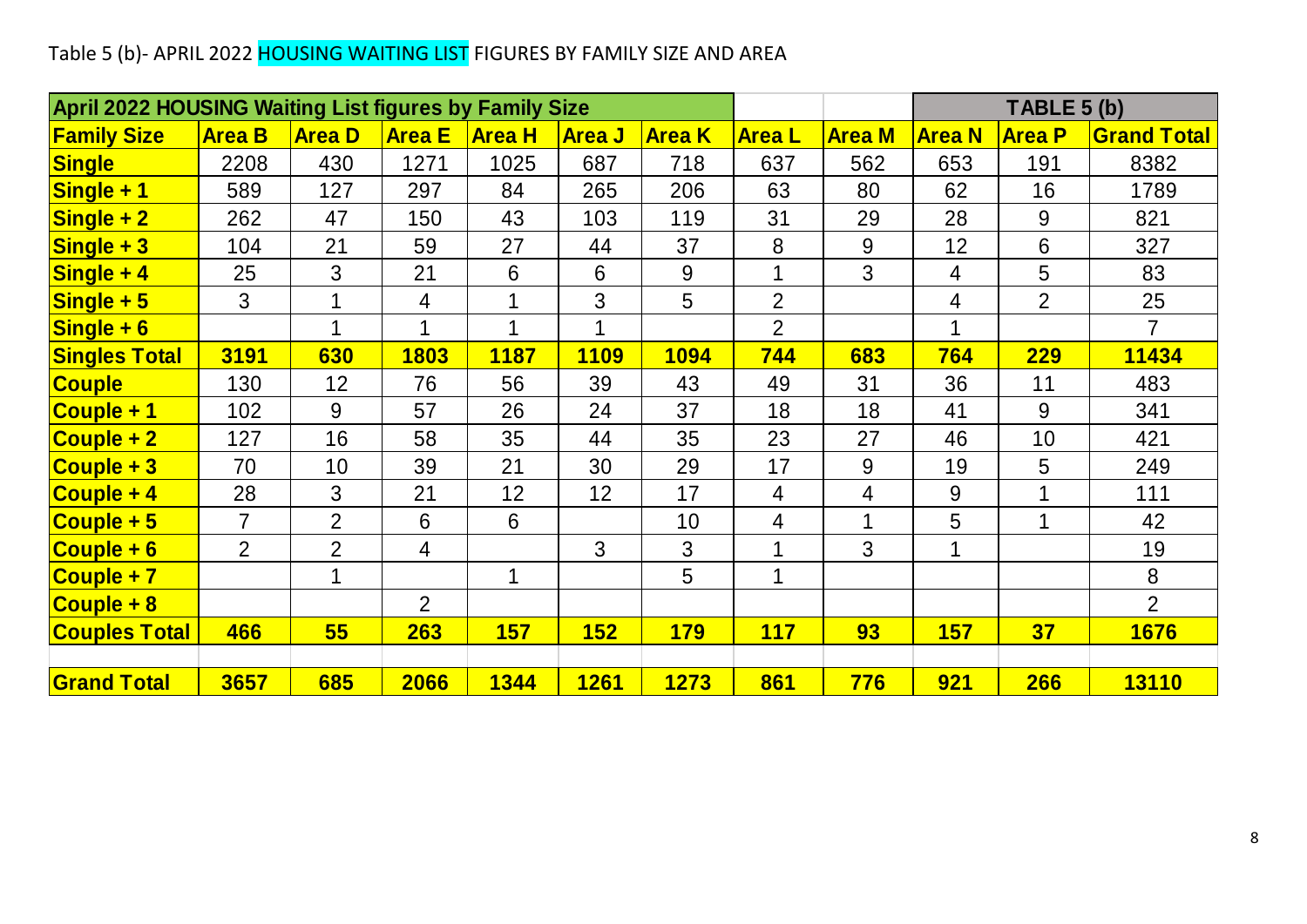# Table 5 (b)- APRIL 2022 <mark>HOUSING WAITING LIST</mark> FIGURES BY FAMILY SIZE AND AREA

| Table 5 (b)- APRIL 2022 HOUSING WAITING LIST FIGURES BY FAMILY SIZE AND AREA |                |                |                |               |               |                |                |                |               |                |                    |
|------------------------------------------------------------------------------|----------------|----------------|----------------|---------------|---------------|----------------|----------------|----------------|---------------|----------------|--------------------|
| <b>April 2022 HOUSING Waiting List figures by Family Size</b>                |                |                |                |               |               |                |                |                |               | TABLE 5 (b)    |                    |
| <b>Family Size</b>                                                           | <b>Area B</b>  | <b>Area D</b>  | <b>Area E</b>  | <b>Area H</b> | <b>Area J</b> | <b>Area K</b>  | <b>AreaL</b>   | <b>Area M</b>  | <b>Area N</b> | <b>Area P</b>  | <b>Grand Total</b> |
| <b>Single</b>                                                                | 2208           | 430            | 1271           | 1025          | 687           | 718            | 637            | 562            | 653           | 191            | 8382               |
| Single + 1                                                                   | 589            | 127            | 297            | 84            | 265           | 206            | 63             | 80             | 62            | 16             | 1789               |
| $\overline{\textsf{Single}+2}$                                               | 262            | 47             | 150            | 43            | 103           | 119            | 31             | 29             | 28            | 9              | 821                |
| $Single + 3$                                                                 | 104            | 21             | 59             | 27            | 44            | 37             | 8              | $9\,$          | 12            | 6              | 327                |
| Single + 4                                                                   | 25             | 3              | 21             | 6             | 6             | 9              | 1              | $\overline{3}$ | 4             | 5              | 83                 |
| $Single + 5$                                                                 | $\mathfrak{B}$ | 1              | 4              |               | 3             | 5              | $\overline{2}$ |                | 4             | $\overline{2}$ | 25                 |
| $\overline{\text{Single} + 6}$                                               |                | 1              | 1              | 1             | 1             |                | $\overline{2}$ |                | 1             |                | $\overline{7}$     |
| <b>Singles Total</b>                                                         | 3191           | 630            | 1803           | <b>1187</b>   | <b>1109</b>   | <b>1094</b>    | 744            | 683            | 764           | <b>229</b>     | 11434              |
| <b>Couple</b>                                                                | 130            | 12             | 76             | 56            | 39            | 43             | 49             | 31             | 36            | 11             | 483                |
| Couple + 1                                                                   | 102            | 9              | 57             | 26            | 24            | 37             | 18             | 18             | 41            | 9              | 341                |
| Couple + 2                                                                   | 127            | 16             | 58             | 35            | 44            | 35             | 23             | 27             | 46            | 10             | 421                |
| $Couple + 3$                                                                 | 70             | 10             | 39             | 21            | 30            | 29             | 17             | 9              | 19            | 5              | 249                |
| Couple + 4                                                                   | 28             | 3              | 21             | 12            | 12            | 17             | 4              | $\overline{4}$ | 9             |                | 111                |
| $\overline{\textsf{Couple}+5}$                                               | $\overline{7}$ | $\overline{2}$ | $6\phantom{1}$ | 6             |               | 10             | 4              | $\mathbf 1$    | 5             | 1              | 42                 |
| $\overline{\text{Couple} + 6}$                                               | 2              | $\overline{2}$ | 4              |               | 3             | $\mathfrak{B}$ | 1              | 3              | 1             |                | 19                 |
| Couple + 7                                                                   |                | 1              |                | 1             |               | 5              | 1              |                |               |                | 8                  |
| Couple + 8                                                                   |                |                | 2              |               |               |                |                |                |               |                | $\overline{2}$     |
| <b>Couples Total</b>                                                         | 466            | 55             | 263            | <b>157</b>    | 152           | <b>179</b>     | <b>117</b>     | 93             | <b>157</b>    | 37             | 1676               |
|                                                                              |                |                |                |               |               |                |                |                |               |                |                    |
| <b>Grand Total</b>                                                           | 3657           | 685            | 2066           | 1344          | <b>1261</b>   | <b>1273</b>    | 861            | 776            | <b>921</b>    | 266            | <b>13110</b>       |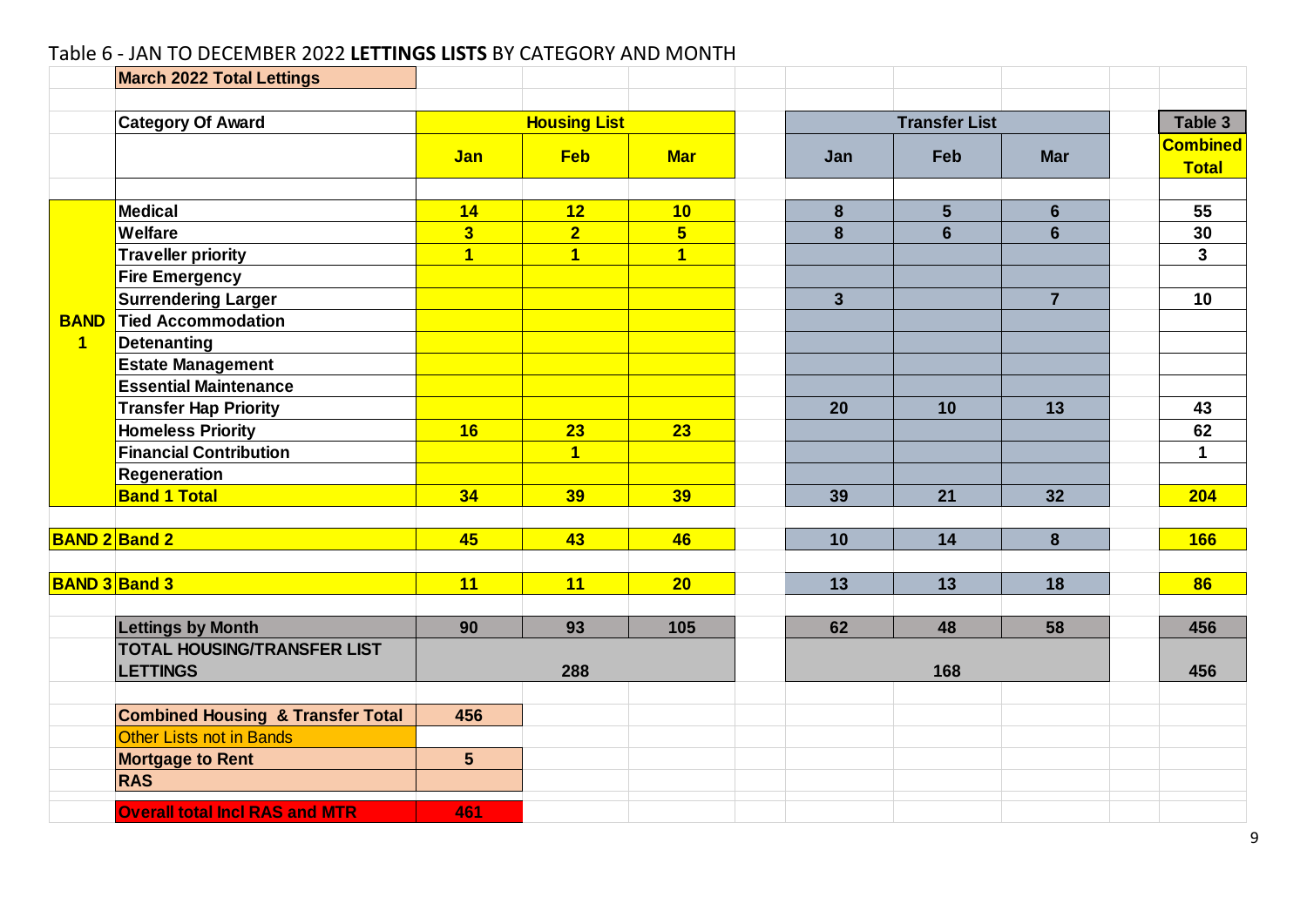#### Table 6 - JAN TO DECEMBER 2022 **LETTINGS LISTS** BY CATEGORY AND MONTH

|                | <b>March 2022 Total Lettings</b>             |                         |                         |                |                         |                      |                |                                 |
|----------------|----------------------------------------------|-------------------------|-------------------------|----------------|-------------------------|----------------------|----------------|---------------------------------|
|                | <b>Category Of Award</b>                     |                         | <b>Housing List</b>     |                |                         | <b>Transfer List</b> |                | Table 3                         |
|                |                                              | <b>Jan</b>              | <b>Feb</b>              | <b>Mar</b>     | Jan                     | Feb                  | <b>Mar</b>     | <b>Combined</b><br><b>Total</b> |
|                | Medical                                      | 14                      | 12                      | 10             | 8                       | 5                    | $6\phantom{1}$ | 55                              |
|                | <b>Welfare</b>                               | $\overline{\mathbf{3}}$ | $\overline{2}$          | $5\phantom{1}$ | 8                       | $6\phantom{1}6$      | $6\phantom{1}$ | 30                              |
|                | <b>Traveller priority</b>                    | $\overline{1}$          | $\overline{\mathbf{1}}$ | $\overline{1}$ |                         |                      |                | 3 <sup>1</sup>                  |
|                | <b>Fire Emergency</b>                        |                         |                         |                |                         |                      |                |                                 |
|                | <b>Surrendering Larger</b>                   |                         |                         |                | $\overline{\mathbf{3}}$ |                      | $\overline{7}$ | 10                              |
| <b>BAND</b>    | <b>Tied Accommodation</b>                    |                         |                         |                |                         |                      |                |                                 |
| $\overline{1}$ | <b>Detenanting</b>                           |                         |                         |                |                         |                      |                |                                 |
|                | <b>Estate Management</b>                     |                         |                         |                |                         |                      |                |                                 |
|                | <b>Essential Maintenance</b>                 |                         |                         |                |                         |                      |                |                                 |
|                | <b>Transfer Hap Priority</b>                 |                         |                         |                | 20                      | 10                   | 13             | 43                              |
|                | <b>Homeless Priority</b>                     | 16                      | 23                      | 23             |                         |                      |                | 62                              |
|                | <b>Financial Contribution</b>                |                         | $\overline{1}$          |                |                         |                      |                | 1                               |
|                | <b>Regeneration</b>                          |                         |                         |                |                         |                      |                |                                 |
|                | <b>Band 1 Total</b>                          | 34                      | 39                      | 39             | 39                      | 21                   | 32             | 204                             |
|                |                                              |                         |                         |                |                         |                      |                |                                 |
|                | <b>BAND 2 Band 2</b>                         | 45                      | 43                      | 46             | 10                      | 14                   | 8              | <b>166</b>                      |
|                | <b>BAND 3 Band 3</b>                         | 11                      | 11                      | 20             | 13                      | 13                   | 18             | 86                              |
|                |                                              |                         |                         |                |                         |                      |                |                                 |
|                | <b>Lettings by Month</b>                     | 90                      | 93                      | 105            | 62                      | 48                   | 58             | 456                             |
|                | <b>TOTAL HOUSING/TRANSFER LIST</b>           |                         |                         |                |                         |                      |                |                                 |
|                | <b>LETTINGS</b>                              |                         | 288                     |                |                         | 168                  |                | 456                             |
|                | <b>Combined Housing &amp; Transfer Total</b> | 456                     |                         |                |                         |                      |                |                                 |
|                | Other Lists not in Bands                     |                         |                         |                |                         |                      |                |                                 |
|                | <b>Mortgage to Rent</b>                      | $5\phantom{.0}$         |                         |                |                         |                      |                |                                 |
|                | <b>RAS</b>                                   |                         |                         |                |                         |                      |                |                                 |
|                | <b>Overall total Incl RAS and MTR</b>        | 461                     |                         |                |                         |                      |                |                                 |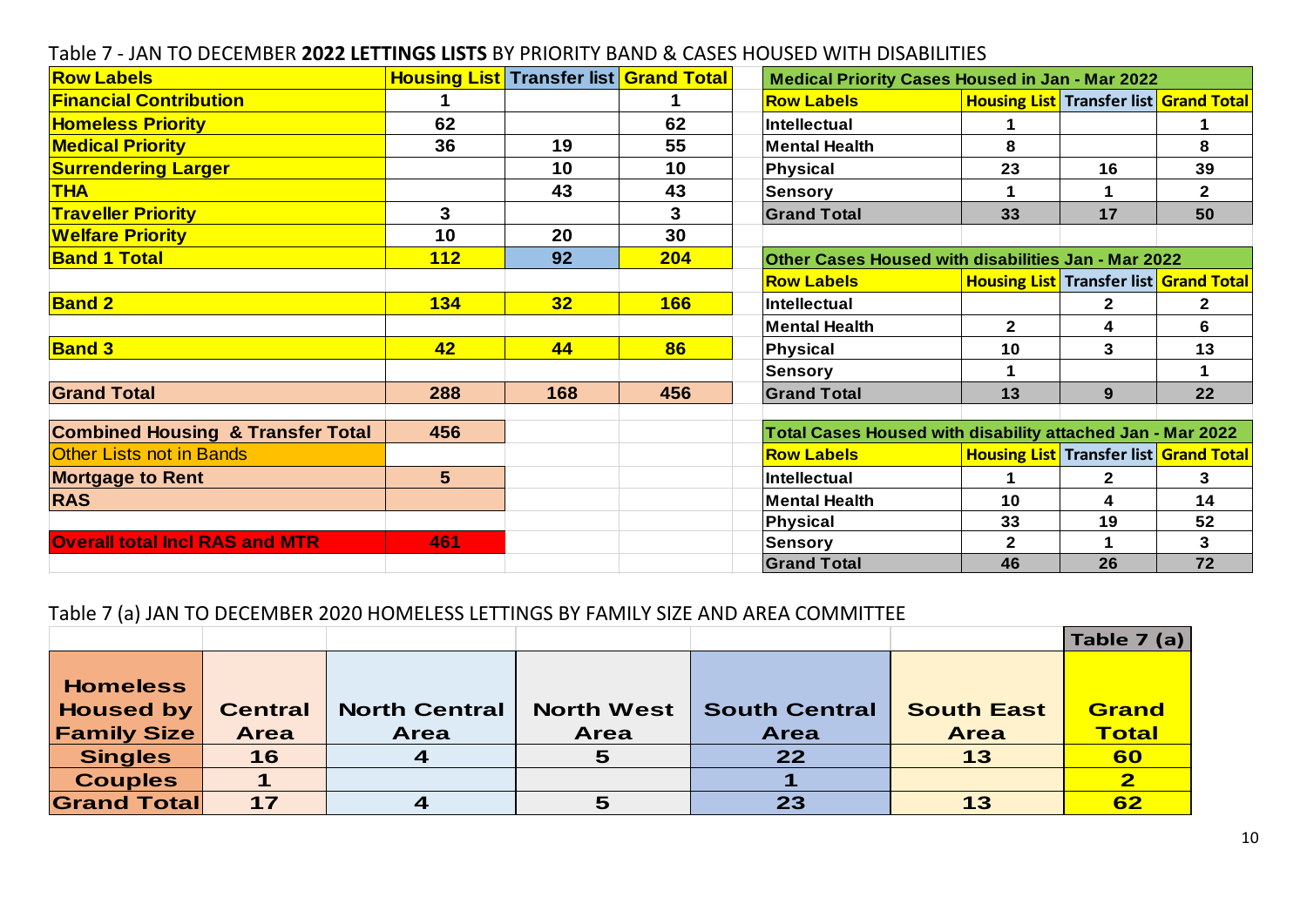|                                              |                |                                               |            | Table 7 - JAN TO DECEMBER 2022 LETTINGS LISTS BY PRIORITY BAND & CASES HOUSED WITH DISABILITIES |              |                                               |  |
|----------------------------------------------|----------------|-----------------------------------------------|------------|-------------------------------------------------------------------------------------------------|--------------|-----------------------------------------------|--|
| <b>Row Labels</b>                            |                | <b>Housing List Transfer list Grand Total</b> |            | <b>Medical Priority Cases Housed in Jan - Mar 2022</b>                                          |              |                                               |  |
| <b>Financial Contribution</b>                | 1              |                                               |            | <b>Row Labels</b>                                                                               |              | <b>Housing List Transfer list Grand Total</b> |  |
| <b>Homeless Priority</b>                     | 62             |                                               | 62         | Intellectual                                                                                    | 1            |                                               |  |
| <b>Medical Priority</b>                      | 36             | 19                                            | 55         | <b>Mental Health</b>                                                                            | 8            |                                               |  |
| <b>Surrendering Larger</b>                   |                | 10                                            | 10         | Physical                                                                                        | 23           | 16                                            |  |
| <b>THA</b>                                   |                | 43                                            | 43         | Sensory                                                                                         | 1            | 1                                             |  |
| <b>Traveller Priority</b>                    | $\mathbf{3}$   |                                               | 3          | <b>Grand Total</b>                                                                              | 33           | 17                                            |  |
| <b>Welfare Priority</b>                      | 10             | 20                                            | 30         |                                                                                                 |              |                                               |  |
| <b>Band 1 Total</b>                          | 112            | 92                                            | 204        | Other Cases Housed with disabilities Jan - Mar 2022                                             |              |                                               |  |
|                                              |                |                                               |            | <b>Row Labels</b>                                                                               |              | <b>Housing List Transfer list Grand Total</b> |  |
| <b>Band 2</b>                                | 134            | 32                                            | <b>166</b> | Intellectual                                                                                    |              | $\mathbf{2}$                                  |  |
|                                              |                |                                               |            | <b>Mental Health</b>                                                                            | $\mathbf{2}$ | 4                                             |  |
| <b>Band 3</b>                                | 42             | 44                                            | 86         | <b>Physical</b>                                                                                 | 10           | 3                                             |  |
|                                              |                |                                               |            | Sensory                                                                                         | $\mathbf 1$  |                                               |  |
| <b>Grand Total</b>                           | 288            | 168                                           | 456        | <b>Grand Total</b>                                                                              | 13           | 9                                             |  |
| <b>Combined Housing &amp; Transfer Total</b> | 456            |                                               |            | Total Cases Housed with disability attached Jan - Mar 2022                                      |              |                                               |  |
| <b>Other Lists not in Bands</b>              |                |                                               |            | <b>Row Labels</b>                                                                               |              | <b>Housing List Transfer list Grand Total</b> |  |
| <b>Mortgage to Rent</b>                      | 5 <sup>5</sup> |                                               |            | Intellectual                                                                                    | $\mathbf 1$  | $\mathbf{2}$                                  |  |
| <b>RAS</b>                                   |                |                                               |            | Mental Health                                                                                   | 10           | $\overline{\mathbf{4}}$                       |  |
|                                              |                |                                               |            | Physical                                                                                        | 33           | 19                                            |  |
| <b>Overall total Incl RAS and MTR</b>        | 461            |                                               |            | <b>Sensory</b>                                                                                  | $\mathbf{2}$ | $\mathbf 1$                                   |  |
|                                              |                |                                               |            | <b>Grand Total</b>                                                                              | 46           | 26                                            |  |

#### Table 7 - JAN TO DECEMBER **2022 LETTINGS LISTS** BY PRIORITY BAND & CASES HOUSED WITH DISABILITIES

Table 7 (a) JAN TO DECEMBER 2020 HOMELESS LETTINGS BY FAMILY SIZE AND AREA COMMITTEE

|                    |                |                      |                   |                      |                   | Table 7 (a)  |
|--------------------|----------------|----------------------|-------------------|----------------------|-------------------|--------------|
|                    |                |                      |                   |                      |                   |              |
| <b>Homeless</b>    |                |                      |                   |                      |                   |              |
| <b>Housed by</b>   | <b>Central</b> | <b>North Central</b> | <b>North West</b> | <b>South Central</b> | <b>South East</b> | Grand        |
| <b>Family Size</b> | <b>Area</b>    | Area                 | <b>Area</b>       | <b>Area</b>          | <b>Area</b>       | <b>Total</b> |
| <b>Singles</b>     | 16             | 4                    | 5                 | 22                   | 13                | 60           |
| <b>Couples</b>     |                |                      |                   |                      |                   |              |
| <b>Grand Total</b> | 17             |                      | 5                 | 23                   | 13                | 62           |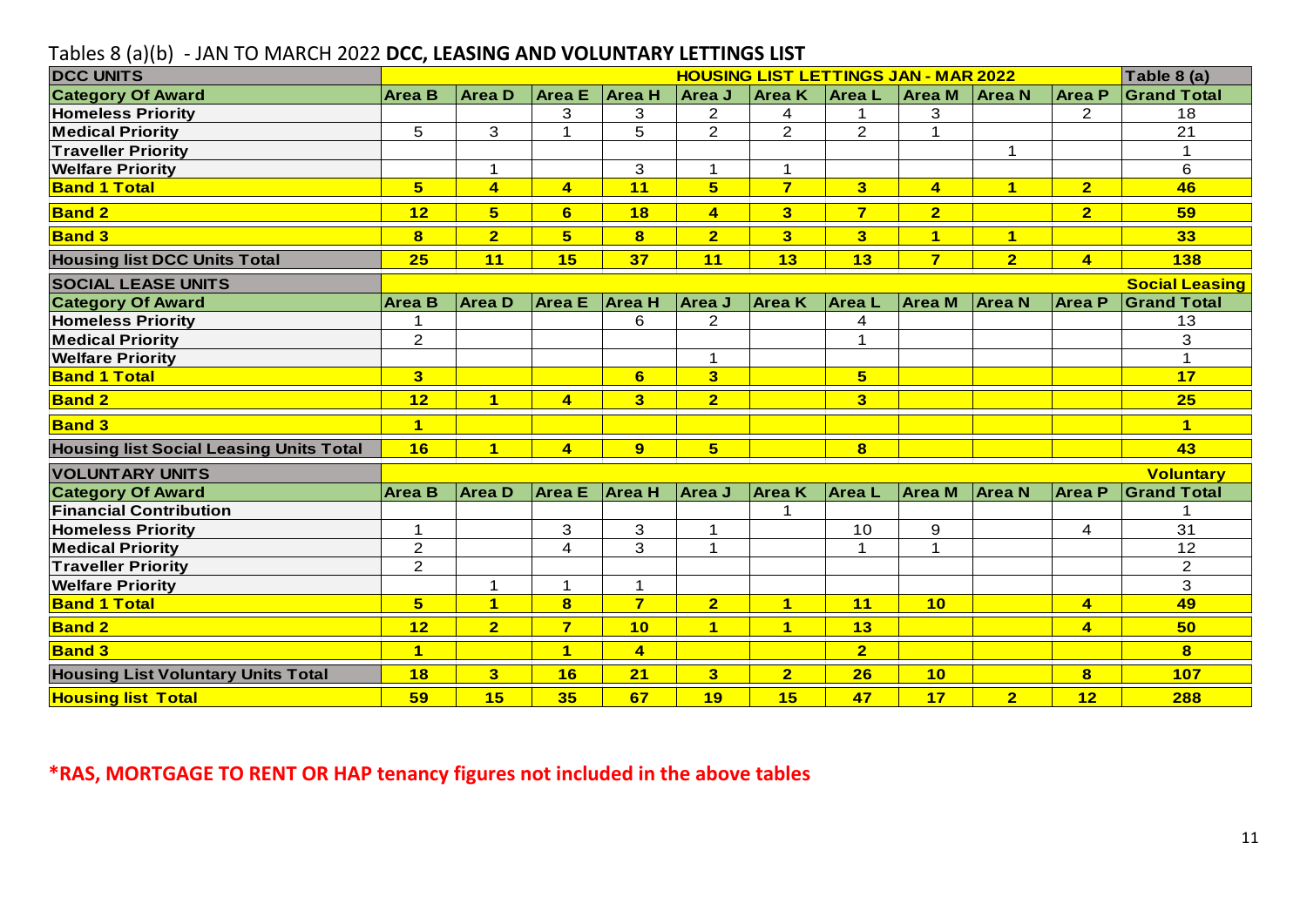| Tables 8 (a)(b) - JAN TO MARCH 2022 DCC, LEASING AND VOLUNTARY LETTINGS LIST |                |                         |                         |                  |                         |                                             |                         |                |                |                         |                       |
|------------------------------------------------------------------------------|----------------|-------------------------|-------------------------|------------------|-------------------------|---------------------------------------------|-------------------------|----------------|----------------|-------------------------|-----------------------|
| <b>DCC UNITS</b>                                                             |                |                         |                         |                  |                         | <b>HOUSING LIST LETTINGS JAN - MAR 2022</b> |                         |                |                |                         | Table 8 (a)           |
| <b>Category Of Award</b>                                                     | <b>Area B</b>  | Area D                  |                         | Area E $ Area H$ | Area J                  | <b>Area K</b>                               | <b>AreaL</b>            | <b>Area</b> M  | <b>Area N</b>  | <b>Area P</b>           | <b>Grand Total</b>    |
| <b>Homeless Priority</b>                                                     |                |                         | 3                       | 3                | $\overline{2}$          | 4                                           | 1                       | 3              |                | $\overline{2}$          | 18                    |
| <b>Medical Priority</b>                                                      | 5              | 3                       | $\mathbf{1}$            | 5                | 2                       | $\overline{2}$                              | $\overline{2}$          | $\mathbf{1}$   |                |                         | 21                    |
| <b>Traveller Priority</b>                                                    |                |                         |                         |                  |                         |                                             |                         |                | $\mathbf{1}$   |                         | $\mathbf 1$           |
| <b>Welfare Priority</b>                                                      |                | $\mathbf{1}$            |                         | 3                | $\mathbf 1$             | $\mathbf{1}$                                |                         |                |                |                         | 6                     |
| <b>Band 1 Total</b>                                                          | 5 <sup>5</sup> | $\overline{\mathbf{A}}$ | $\overline{4}$          | 11               | 5 <sup>5</sup>          | $\overline{7}$                              | 3 <sup>1</sup>          | $\overline{4}$ | $\overline{1}$ | $\overline{2}$          | 46                    |
| <b>Band 2</b>                                                                | 12             | $5\overline{)}$         | 6                       | 18               | $\overline{4}$          | 3                                           | $\overline{7}$          | 2 <sup>1</sup> |                | $\overline{2}$          | 59                    |
| <b>Band 3</b>                                                                | $\bf{8}$       | $\overline{2}$          | $5\phantom{1}$          | $\bf{8}$         | $\overline{2}$          | 3 <sup>5</sup>                              | 3 <sup>2</sup>          | $\mathbf{1}$   | $\mathbf{1}$   |                         | 33 <sub>o</sub>       |
| <b>Housing list DCC Units Total</b>                                          | 25             | 11                      | 15                      | 37               | 11                      | 13                                          | 13                      | $\overline{7}$ | $\overline{2}$ | $\overline{\mathbf{4}}$ | <b>138</b>            |
| <b>SOCIAL LEASE UNITS</b>                                                    |                |                         |                         |                  |                         |                                             |                         |                |                |                         | <b>Social Leasing</b> |
| <b>Category Of Award</b>                                                     | <b>Area B</b>  | <b>AreaD</b>            | <b>Area E</b>           | <b>Area H</b>    | Area J                  | <b>Area K</b>                               | <b>AreaL</b>            | <b>Area M</b>  | <b>Area N</b>  | <b>Area P</b>           | <b>Grand Total</b>    |
| <b>Homeless Priority</b>                                                     | 1              |                         |                         | 6                | $\overline{2}$          |                                             | 4                       |                |                |                         | 13                    |
| <b>Medical Priority</b>                                                      | $\overline{2}$ |                         |                         |                  |                         |                                             | $\mathbf{1}$            |                |                |                         | 3                     |
| <b>Welfare Priority</b>                                                      |                |                         |                         |                  | $\mathbf 1$             |                                             |                         |                |                |                         | $\overline{1}$        |
| <b>Band 1 Total</b>                                                          | 3              |                         |                         | 6                | $\overline{\mathbf{3}}$ |                                             | $5\phantom{a}$          |                |                |                         | 17                    |
| <b>Band 2</b>                                                                | 12             | $\overline{\mathbf{1}}$ | $\overline{\mathbf{4}}$ | 3 <sup>1</sup>   | $\overline{2}$          |                                             | 3                       |                |                |                         | 25                    |
| <b>Band 3</b>                                                                | $\mathbf 1$    |                         |                         |                  |                         |                                             |                         |                |                |                         | $\blacktriangleleft$  |
| <b>Housing list Social Leasing Units Total</b>                               | 16             | $\overline{\mathbf{1}}$ | $\overline{4}$          | 9                | $5\overline{)}$         |                                             | $\overline{\mathbf{8}}$ |                |                |                         | 43                    |
| <b>VOLUNTARY UNITS</b>                                                       |                |                         |                         |                  |                         |                                             |                         |                |                |                         | <b>Voluntary</b>      |
| <b>Category Of Award</b>                                                     | <b>Area B</b>  | Area D                  | <b>Area E</b>           | <b>Area H</b>    | Area J                  | <b>Area K</b>                               | <b>Area</b> L           | <b>Area M</b>  | <b>Area N</b>  | Area P                  | <b>Grand Total</b>    |
| <b>Financial Contribution</b>                                                |                |                         |                         |                  |                         |                                             |                         |                |                |                         |                       |
| <b>Homeless Priority</b>                                                     | 1              |                         | 3                       | 3                | 1                       |                                             | 10                      | 9              |                | 4                       | 31                    |
| <b>Medical Priority</b>                                                      | $\overline{2}$ |                         | 4                       | 3                | 1                       |                                             | $\mathbf{1}$            | 1              |                |                         | 12                    |
| <b>Traveller Priority</b>                                                    | $\overline{2}$ |                         |                         |                  |                         |                                             |                         |                |                |                         | $\overline{2}$        |
| <b>Welfare Priority</b>                                                      |                | $\mathbf{1}$            | $\mathbf{1}$            | $\mathbf 1$      |                         |                                             |                         |                |                |                         | 3                     |
| <b>Band 1 Total</b>                                                          | 5 <sup>5</sup> | $\overline{1}$          | $\overline{\mathbf{8}}$ | $\overline{7}$   | $\overline{2}$          | $\overline{1}$                              | 11                      | 10             |                | $\overline{\mathbf{4}}$ | 49                    |
| <b>Band 2</b>                                                                | 12             | $\overline{\mathbf{2}}$ | $\overline{\mathbf{z}}$ | 10               | $\blacktriangleleft$    | $\blacksquare$                              | 13                      |                |                | $\overline{4}$          | 50                    |
| <b>Band 3</b>                                                                | $\overline{1}$ |                         | $\overline{1}$          | $\overline{4}$   |                         |                                             | $\overline{2}$          |                |                |                         | 8                     |
| <b>Housing List Voluntary Units Total</b>                                    | 18             | 3 <sup>2</sup>          | 16                      | 21               | $\overline{\mathbf{3}}$ | $\overline{2}$                              | 26                      | 10             |                | $\mathbf{8}$            | <b>107</b>            |
| <b>Housing list Total</b>                                                    | 59             | 15                      | 35                      | 67               | 19                      | 15                                          | 47                      | 17             | 2 <sup>1</sup> | 12                      | 288                   |

#### Tables 8 (a)(b) - JAN TO MARCH 2022 **DCC, LEASING AND VOLUNTARY LETTINGS LIST**

**\*RAS, MORTGAGE TO RENT OR HAP tenancy figures not included in the above tables**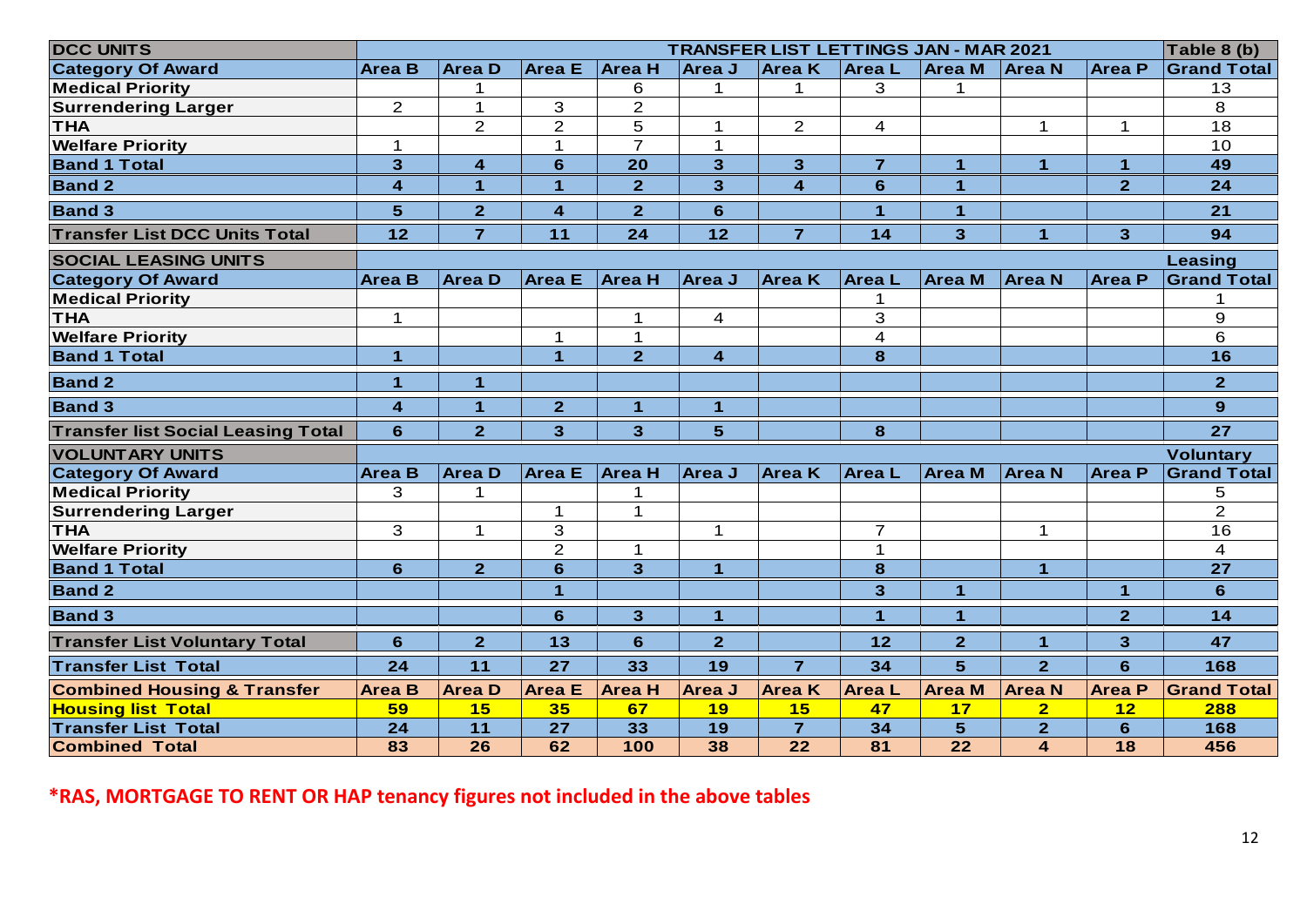| <b>DCC UNITS</b>                                                                                  |                         |                      |                      |                      |                      | <b>TRANSFER LIST LETTINGS JAN - MAR 2021</b> |                |                         |                         |                | Table 8 (b)        |
|---------------------------------------------------------------------------------------------------|-------------------------|----------------------|----------------------|----------------------|----------------------|----------------------------------------------|----------------|-------------------------|-------------------------|----------------|--------------------|
| <b>Category Of Award</b>                                                                          | <b>Area B</b>           | <b>Area D</b>        | <b>Area</b> E        | <b>Area H</b>        | Area J               | <b>Area K</b>                                | <b>AreaL</b>   | <b>Area M</b>           | <b>Area N</b>           | <b>Area</b> P  | <b>Grand Total</b> |
| <b>Medical Priority</b>                                                                           |                         | 1                    |                      | 6                    | 1                    | 1                                            | 3              | 1                       |                         |                | 13                 |
| <b>Surrendering Larger</b>                                                                        | $\overline{2}$          | $\mathbf 1$          | 3                    | $\overline{2}$       |                      |                                              |                |                         |                         |                | 8                  |
| <b>THA</b>                                                                                        |                         | $\overline{2}$       | $\overline{2}$       | 5                    | $\mathbf 1$          | $\mathbf{2}$                                 | 4              |                         | $\mathbf 1$             | $\mathbf 1$    | 18                 |
| <b>Welfare Priority</b>                                                                           | $\mathbf 1$             |                      | $\mathbf 1$          | $\overline{7}$       | $\mathbf{1}$         |                                              |                |                         |                         |                | 10                 |
| <b>Band 1 Total</b>                                                                               | 3                       | 4                    | 6                    | 20                   | 3                    | $\mathbf{3}$                                 | $\overline{7}$ | $\overline{\mathbf{1}}$ | $\blacktriangleleft$    | $\mathbf{1}$   | 49                 |
| <b>Band 2</b>                                                                                     | $\overline{\mathbf{4}}$ | $\blacktriangleleft$ | 1                    | $\overline{2}$       | 3                    | $\overline{\mathbf{4}}$                      | 6              | $\blacktriangleleft$    |                         | $\overline{2}$ | 24                 |
| <b>Band 3</b>                                                                                     | 5                       | $\overline{2}$       | 4                    | $\overline{2}$       | 6                    |                                              | $\mathbf{1}$   | $\overline{\mathbf{1}}$ |                         |                | 21                 |
| <b>Transfer List DCC Units Total</b>                                                              | 12                      | $\overline{7}$       | 11                   | 24                   | $12$                 | $\overline{7}$                               | $14$           | 3                       | $\blacktriangleleft$    | 3 <sup>5</sup> | 94                 |
| <b>SOCIAL LEASING UNITS</b>                                                                       |                         |                      |                      |                      |                      |                                              |                |                         |                         |                | Leasing            |
| <b>Category Of Award</b>                                                                          | <b>Area B</b>           | <b>AreaD</b>         | <b>Area</b> E        | <b>Area H</b>        | Area J               | <b>Area</b> K                                | <b>AreaL</b>   | <b>Area</b> M           | <b>Area N</b>           | <b>Area P</b>  | <b>Grand Total</b> |
| <b>Medical Priority</b>                                                                           |                         |                      |                      |                      |                      |                                              | 1              |                         |                         |                |                    |
| <b>THA</b>                                                                                        | $\mathbf 1$             |                      |                      | 1                    | $\overline{4}$       |                                              | 3              |                         |                         |                | 9                  |
| <b>Welfare Priority</b>                                                                           |                         |                      | 1                    | 1                    |                      |                                              | 4              |                         |                         |                | 6                  |
| <b>Band 1 Total</b>                                                                               | $\blacktriangleleft$    |                      | $\blacktriangleleft$ | $\overline{2}$       | 4                    |                                              | 8              |                         |                         |                | 16                 |
| <b>Band 2</b>                                                                                     | $\blacktriangleleft$    | $\blacktriangleleft$ |                      |                      |                      |                                              |                |                         |                         |                | $\overline{2}$     |
| <b>Band 3</b>                                                                                     | 4                       | $\mathbf{1}$         | $\overline{2}$       | $\blacktriangleleft$ | 4                    |                                              |                |                         |                         |                | 9                  |
| <b>Transfer list Social Leasing Total</b>                                                         | $6\phantom{1}$          | $\overline{2}$       | 3                    | 3 <sup>5</sup>       | 5                    |                                              | 8              |                         |                         |                | 27                 |
| <b>VOLUNTARY UNITS</b>                                                                            |                         |                      |                      |                      |                      |                                              |                |                         |                         |                | <b>Voluntary</b>   |
| <b>Category Of Award</b>                                                                          | <b>Area B</b>           | <b>Area D</b>        | <b>Area</b> E        | <b>Area H</b>        | <b>Area J</b>        | Area K                                       | <b>Area</b> L  | <b>Area M</b>           | <b>Area N</b>           | ∣Area P        | <b>Grand Total</b> |
| <b>Medical Priority</b>                                                                           | 3                       | 1                    |                      |                      |                      |                                              |                |                         |                         |                | 5                  |
| <b>Surrendering Larger</b>                                                                        |                         |                      | 1                    | $\mathbf 1$          |                      |                                              |                |                         |                         |                | $\overline{2}$     |
| <b>THA</b>                                                                                        | 3                       | $\mathbf 1$          | 3                    |                      | 1                    |                                              | $\overline{7}$ |                         | $\mathbf 1$             |                | 16                 |
| <b>Welfare Priority</b>                                                                           |                         |                      | $\overline{2}$       | $\mathbf{1}$         |                      |                                              | $\mathbf{1}$   |                         |                         |                | $\overline{4}$     |
| <b>Band 1 Total</b>                                                                               | 6                       | 2 <sup>1</sup>       | 6                    | 3                    | $\blacktriangleleft$ |                                              | 8              |                         | $\overline{1}$          |                | 27                 |
| <b>Band 2</b>                                                                                     |                         |                      | $\blacktriangleleft$ |                      |                      |                                              | $\mathbf{R}$   | $\mathbf{1}$            |                         | $\mathbf{1}$   | 6                  |
| <b>Band 3</b>                                                                                     |                         |                      | 6                    | 3 <sup>5</sup>       | $\mathbf{1}$         |                                              | $\mathbf 1$    | $\mathbf{1}$            |                         | 2 <sup>1</sup> | $14$               |
| <b>Transfer List Voluntary Total</b>                                                              | 6                       | 2 <sup>1</sup>       | 13                   | 6                    | 2 <sup>1</sup>       |                                              | 12             | $\overline{2}$          | $\mathbf{1}$            | 3 <sup>5</sup> | 47                 |
| <b>Transfer List Total</b>                                                                        | 24                      | 11                   | 27                   | 33                   | 19                   | $\overline{7}$                               | 34             | 5 <sup>5</sup>          | $\overline{2}$          | 6              | 168                |
|                                                                                                   | <b>Area B</b>           | <b>Area D</b>        | <b>Area E</b>        | <b>Area H</b>        | <b>Area J</b>        | <b>Area K</b>                                | <b>AreaL</b>   | <b>Area</b> M           | <b>Area N</b>           | <b>Area P</b>  | <b>Grand Total</b> |
|                                                                                                   |                         |                      |                      |                      |                      |                                              |                |                         |                         |                |                    |
|                                                                                                   | 59                      | 15                   | 35                   | 67                   | 19                   | 15                                           | 47             | 17                      | $\overline{\mathbf{2}}$ | 12             | 288                |
| <b>Combined Housing &amp; Transfer</b><br><b>Housing list Total</b><br><b>Transfer List Total</b> | 24                      | 11                   | 27                   | 33                   | 19                   | $\overline{7}$                               | 34             | 5 <sup>5</sup>          | 2 <sup>1</sup>          | $6\phantom{1}$ | 168                |

**\*RAS, MORTGAGE TO RENT OR HAP tenancy figures not included in the above tables**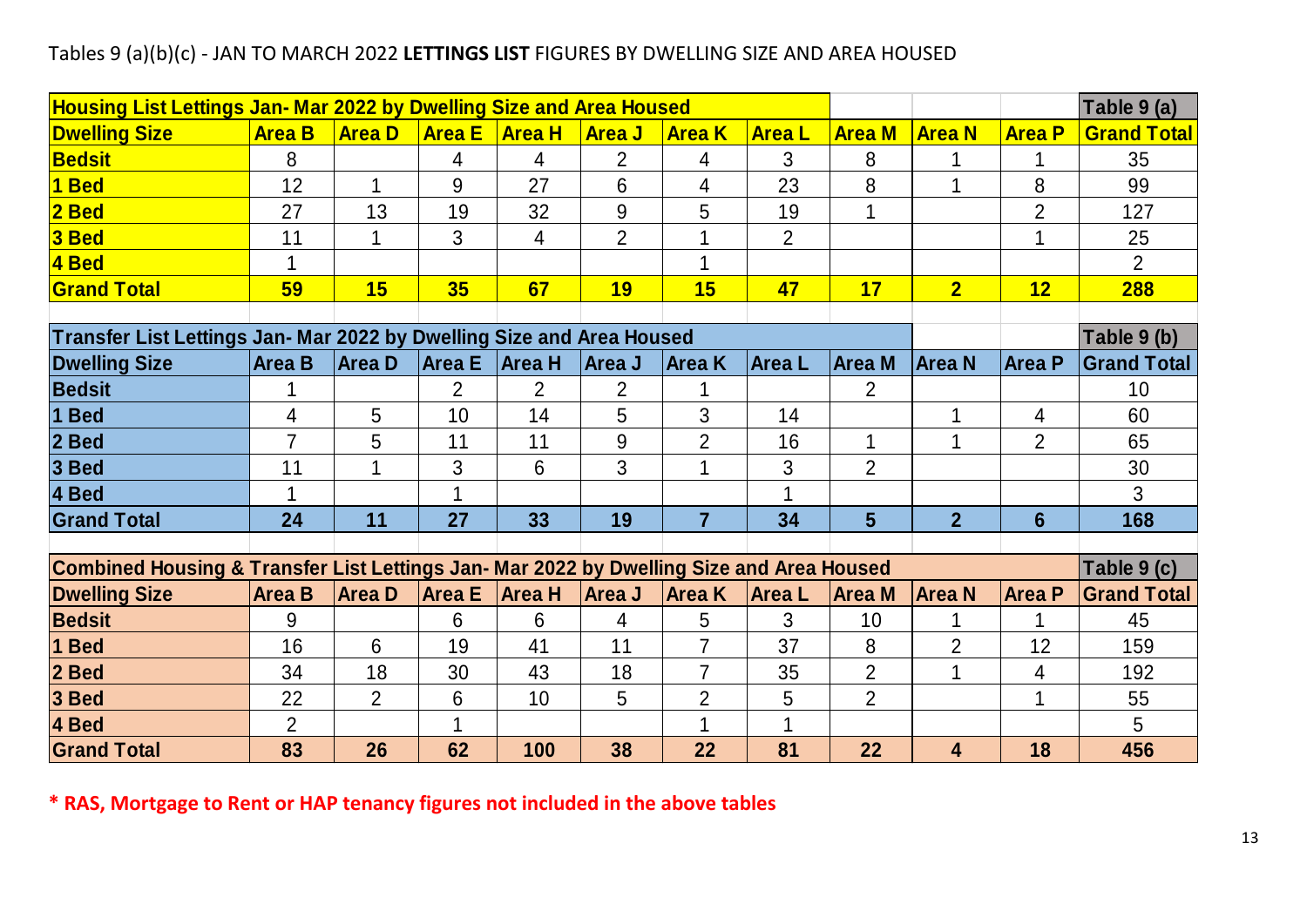#### Tables 9 (a)(b)(c) - JAN TO MARCH 2022 **LETTINGS LIST** FIGURES BY DWELLING SIZE AND AREA HOUSED

| <b>Housing List Lettings Jan- Mar 2022 by Dwelling Size and Area Housed</b>              |                                                                       |                |               |                |                |                |                |                |                |                | Table 9 (a)        |
|------------------------------------------------------------------------------------------|-----------------------------------------------------------------------|----------------|---------------|----------------|----------------|----------------|----------------|----------------|----------------|----------------|--------------------|
| <b>Dwelling Size</b>                                                                     | <b>Area B</b>                                                         | <b>Area D</b>  | <b>Area E</b> | <b>Area H</b>  | <b>Area J</b>  | <b>Area K</b>  | <b>Area L</b>  | <b>Area M</b>  | <b>Area N</b>  | <b>Area P</b>  | <b>Grand Total</b> |
| <b>Bedsit</b>                                                                            | 8                                                                     |                | 4             | 4              | $\overline{2}$ | 4              | 3              | 8              |                | 1              | 35                 |
| 1 Bed                                                                                    | 12                                                                    | 1              | 9             | 27             | 6              | 4              | 23             | 8              |                | 8              | 99                 |
| $2$ Bed                                                                                  | 27                                                                    | 13             | 19            | 32             | $9\,$          | 5              | 19             |                |                | $\overline{2}$ | 127                |
| $3$ Bed                                                                                  | 11                                                                    |                | 3             | 4              | $\overline{2}$ |                | $\overline{2}$ |                |                |                | 25                 |
| 4 Bed                                                                                    |                                                                       |                |               |                |                |                |                |                |                |                | $\overline{2}$     |
| <b>Grand Total</b>                                                                       | 59                                                                    | <b>15</b>      | 35            | 67             | <b>19</b>      | 15             | 47             | 17             | 2 <sub>2</sub> | 12             | 288                |
|                                                                                          |                                                                       |                |               |                |                |                |                |                |                |                |                    |
|                                                                                          | Transfer List Lettings Jan- Mar 2022 by Dwelling Size and Area Housed |                |               |                |                |                |                |                |                |                | Table 9 (b)        |
| <b>Dwelling Size</b>                                                                     | <b>Area B</b>                                                         | <b>Area D</b>  | Area E        | <b>Area H</b>  | Area J         | Area K         | <b>Area</b> L  | <b>Area M</b>  | <b>Area N</b>  | <b>Area P</b>  | <b>Grand Total</b> |
| <b>Bedsit</b>                                                                            |                                                                       |                | 2             | $\overline{2}$ | $\overline{2}$ |                |                | $\overline{2}$ |                |                | 10                 |
| 1 Bed                                                                                    | 4                                                                     | 5              | 10            | 14             | 5              | 3              | 14             |                |                | 4              | 60                 |
| 2 Bed                                                                                    |                                                                       | 5              | 11            | 11             | 9              | $\overline{2}$ | 16             |                |                | $\overline{2}$ | 65                 |
| 3 Bed                                                                                    | 11                                                                    | 1              | 3             | 6              | 3              | 1              | 3              | $\overline{2}$ |                |                | 30                 |
| 4 Bed                                                                                    |                                                                       |                | 1             |                |                |                | $\mathbf 1$    |                |                |                | 3                  |
| <b>Grand Total</b>                                                                       | 24                                                                    | 11             | 27            | 33             | 19             | $\overline{7}$ | 34             | 5              | $\overline{2}$ | $6\phantom{1}$ | 168                |
|                                                                                          |                                                                       |                |               |                |                |                |                |                |                |                |                    |
| Combined Housing & Transfer List Lettings Jan- Mar 2022 by Dwelling Size and Area Housed |                                                                       |                |               |                |                |                |                |                |                |                | Table 9 (c)        |
| <b>Dwelling Size</b>                                                                     | <b>Area B</b>                                                         | <b>AreaD</b>   | Area E        | Area H         | Area J         | <b>Area K</b>  | <b>AreaL</b>   | Area M         | <b>Area N</b>  | <b>Area P</b>  | <b>Grand Total</b> |
| <b>Bedsit</b>                                                                            | 9                                                                     |                | 6             | 6              | 4              | 5              | 3              | 10             |                |                | 45                 |
| 1 Bed                                                                                    | 16                                                                    | 6              | 19            | 41             | 11             | $\overline{7}$ | 37             | 8              | $\overline{2}$ | 12             | 159                |
| 2 Bed                                                                                    | 34                                                                    | 18             | 30            | 43             | 18             | $\overline{7}$ | 35             | $\overline{2}$ |                | 4              | 192                |
| 3 Bed                                                                                    | 22                                                                    | $\overline{2}$ | 6             | 10             | 5              | $\overline{2}$ | 5              | $\overline{2}$ |                | 1              | 55                 |
| 4 Bed                                                                                    | $\overline{2}$                                                        |                | 1             |                |                | 1              | 1              |                |                |                | 5                  |
| <b>Grand Total</b>                                                                       | 83                                                                    | 26             | 62            | 100            | 38             | 22             | 81             | 22             | 4              | 18             | 456                |

**\* RAS, Mortgage to Rent or HAP tenancy figures not included in the above tables**